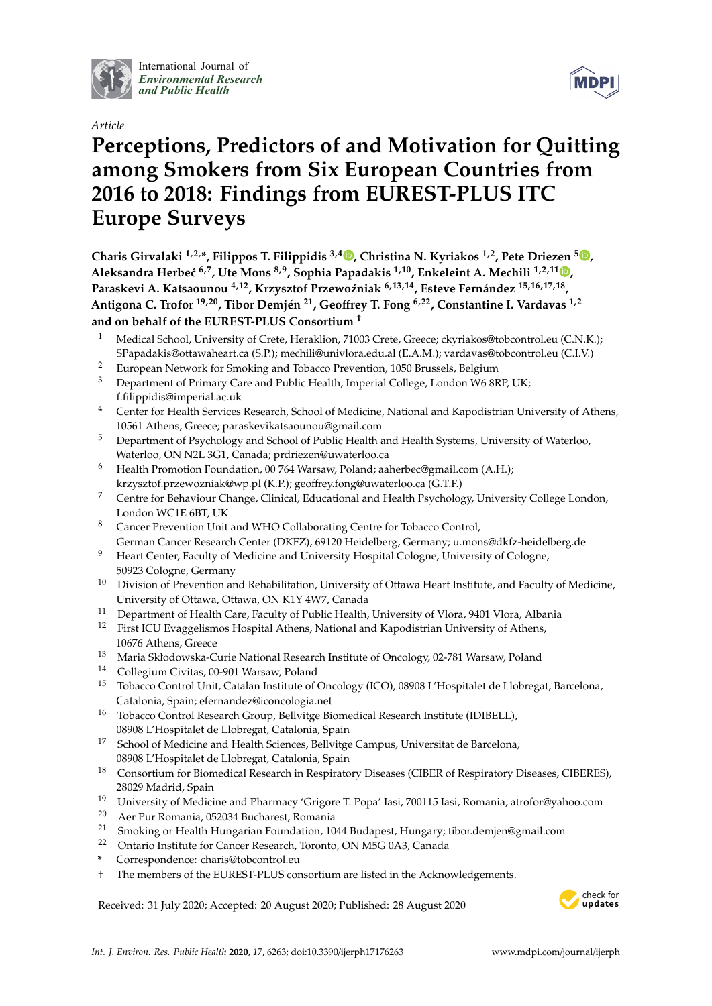

International Journal of *[Environmental Research](http://www.mdpi.com/journal/ijerph) and Public Health*





# **Perceptions, Predictors of and Motivation for Quitting among Smokers from Six European Countries from 2016 to 2018: Findings from EUREST-PLUS ITC Europe Surveys**

**Charis Girvalaki 1,2,\*, Filippos T. Filippidis 3,4 [,](https://orcid.org/0000-0002-2101-2559) Christina N. Kyriakos 1,2, Pete Driezen <sup>5</sup> [,](https://orcid.org/0000-0003-2320-0999)**  $\bullet$  Aleksandra Herbeć  $^{6,7}$  $^{6,7}$  $^{6,7}$ , Ute Mons  $^{8,9}$ , Sophia Papadakis  $^{1,10}$ , Enkeleint A. Mechili  $^{1,2,11}$   $\bullet$ **Paraskevi A. Katsaounou 4,12, Krzysztof Przewo ´zniak 6,13,14, Esteve Fernández 15,16,17,18 , Antigona C. Trofor 19,20, Tibor Demjén <sup>21</sup>, Geo**ff**rey T. Fong 6,22, Constantine I. Vardavas 1,2 and on behalf of the EUREST-PLUS Consortium** †

- <sup>1</sup> Medical School, University of Crete, Heraklion, 71003 Crete, Greece; ckyriakos@tobcontrol.eu (C.N.K.); SPapadakis@ottawaheart.ca (S.P.); mechili@univlora.edu.al (E.A.M.); vardavas@tobcontrol.eu (C.I.V.)
- <sup>2</sup> European Network for Smoking and Tobacco Prevention, 1050 Brussels, Belgium
- <sup>3</sup> Department of Primary Care and Public Health, Imperial College, London W6 8RP, UK; f.filippidis@imperial.ac.uk
- Center for Health Services Research, School of Medicine, National and Kapodistrian University of Athens, 10561 Athens, Greece; paraskevikatsaounou@gmail.com
- <sup>5</sup> Department of Psychology and School of Public Health and Health Systems, University of Waterloo, Waterloo, ON N2L 3G1, Canada; prdriezen@uwaterloo.ca
- <sup>6</sup> Health Promotion Foundation, 00 764 Warsaw, Poland; aaherbec@gmail.com (A.H.); krzysztof.przewozniak@wp.pl (K.P.); geoffrey.fong@uwaterloo.ca (G.T.F.)
- <sup>7</sup> Centre for Behaviour Change, Clinical, Educational and Health Psychology, University College London, London WC1E 6BT, UK
- <sup>8</sup> Cancer Prevention Unit and WHO Collaborating Centre for Tobacco Control, German Cancer Research Center (DKFZ), 69120 Heidelberg, Germany; u.mons@dkfz-heidelberg.de
- <sup>9</sup> Heart Center, Faculty of Medicine and University Hospital Cologne, University of Cologne, 50923 Cologne, Germany
- <sup>10</sup> Division of Prevention and Rehabilitation, University of Ottawa Heart Institute, and Faculty of Medicine, University of Ottawa, Ottawa, ON K1Y 4W7, Canada
- <sup>11</sup> Department of Health Care, Faculty of Public Health, University of Vlora, 9401 Vlora, Albania<br><sup>12</sup> First ICU Eugenelismes Hespital Athons, National and Kanadistrian University of Athons
- First ICU Evaggelismos Hospital Athens, National and Kapodistrian University of Athens, 10676 Athens, Greece
- <sup>13</sup> Maria Skłodowska-Curie National Research Institute of Oncology, 02-781 Warsaw, Poland
- <sup>14</sup> Collegium Civitas, 00-901 Warsaw, Poland<sup>15</sup> Tobacco Control Unit, Catalan Instituto of 6
- <sup>15</sup> Tobacco Control Unit, Catalan Institute of Oncology (ICO), 08908 L'Hospitalet de Llobregat, Barcelona, Catalonia, Spain; efernandez@iconcologia.net
- <sup>16</sup> Tobacco Control Research Group, Bellvitge Biomedical Research Institute (IDIBELL), 08908 L'Hospitalet de Llobregat, Catalonia, Spain
- <sup>17</sup> School of Medicine and Health Sciences, Bellvitge Campus, Universitat de Barcelona, 08908 L'Hospitalet de Llobregat, Catalonia, Spain
- <sup>18</sup> Consortium for Biomedical Research in Respiratory Diseases (CIBER of Respiratory Diseases, CIBERES), 28029 Madrid, Spain
- <sup>19</sup> University of Medicine and Pharmacy 'Grigore T. Popa' Iasi, 700115 Iasi, Romania; atrofor@yahoo.com
- <sup>20</sup> Aer Pur Romania, 052034 Bucharest, Romania
- <sup>21</sup> Smoking or Health Hungarian Foundation, 1044 Budapest, Hungary; tibor.demjen@gmail.com<br><sup>22</sup> Optario Institute for Cancer Besearch Teropia ON M5C 0A3 Canada
- <sup>22</sup> Ontario Institute for Cancer Research, Toronto, ON M5G 0A3, Canada
- **\*** Correspondence: charis@tobcontrol.eu
- † The members of the EUREST-PLUS consortium are listed in the Acknowledgements.

Received: 31 July 2020; Accepted: 20 August 2020; Published: 28 August 2020

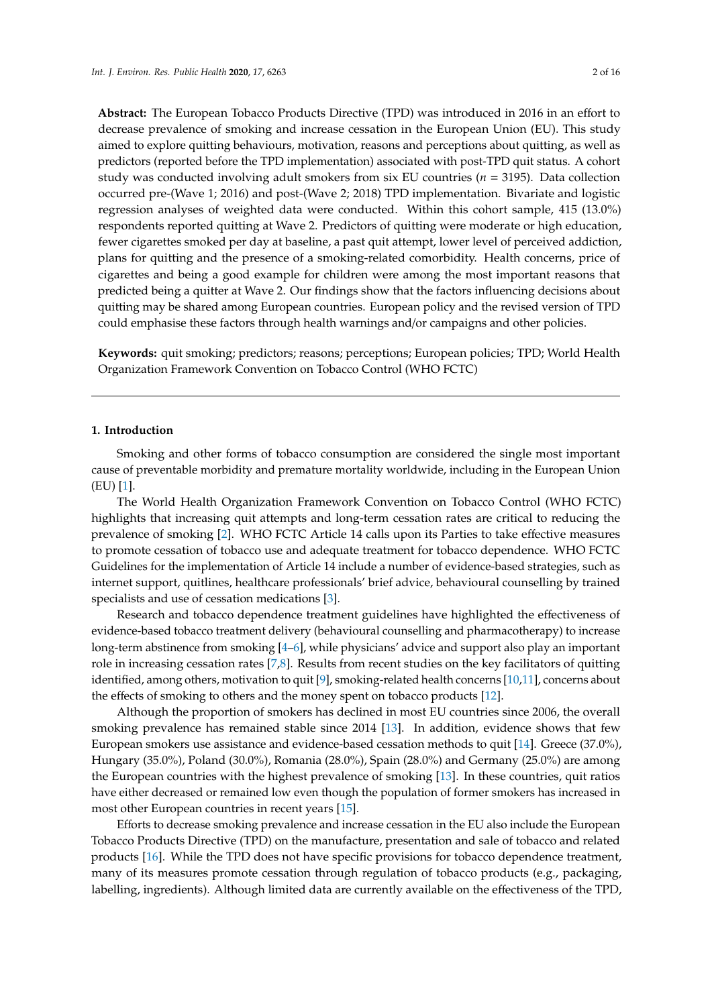**Abstract:** The European Tobacco Products Directive (TPD) was introduced in 2016 in an effort to decrease prevalence of smoking and increase cessation in the European Union (EU). This study aimed to explore quitting behaviours, motivation, reasons and perceptions about quitting, as well as predictors (reported before the TPD implementation) associated with post-TPD quit status. A cohort study was conducted involving adult smokers from six EU countries (*n* = 3195). Data collection occurred pre-(Wave 1; 2016) and post-(Wave 2; 2018) TPD implementation. Bivariate and logistic regression analyses of weighted data were conducted. Within this cohort sample, 415 (13.0%) respondents reported quitting at Wave 2. Predictors of quitting were moderate or high education, fewer cigarettes smoked per day at baseline, a past quit attempt, lower level of perceived addiction, plans for quitting and the presence of a smoking-related comorbidity. Health concerns, price of cigarettes and being a good example for children were among the most important reasons that predicted being a quitter at Wave 2. Our findings show that the factors influencing decisions about quitting may be shared among European countries. European policy and the revised version of TPD could emphasise these factors through health warnings and/or campaigns and other policies.

**Keywords:** quit smoking; predictors; reasons; perceptions; European policies; TPD; World Health Organization Framework Convention on Tobacco Control (WHO FCTC)

## **1. Introduction**

Smoking and other forms of tobacco consumption are considered the single most important cause of preventable morbidity and premature mortality worldwide, including in the European Union (EU) [\[1\]](#page-12-0).

The World Health Organization Framework Convention on Tobacco Control (WHO FCTC) highlights that increasing quit attempts and long-term cessation rates are critical to reducing the prevalence of smoking [\[2\]](#page-12-1). WHO FCTC Article 14 calls upon its Parties to take effective measures to promote cessation of tobacco use and adequate treatment for tobacco dependence. WHO FCTC Guidelines for the implementation of Article 14 include a number of evidence-based strategies, such as internet support, quitlines, healthcare professionals' brief advice, behavioural counselling by trained specialists and use of cessation medications [\[3\]](#page-12-2).

Research and tobacco dependence treatment guidelines have highlighted the effectiveness of evidence-based tobacco treatment delivery (behavioural counselling and pharmacotherapy) to increase long-term abstinence from smoking [\[4–](#page-12-3)[6\]](#page-12-4), while physicians' advice and support also play an important role in increasing cessation rates  $[7,8]$  $[7,8]$ . Results from recent studies on the key facilitators of quitting identified, among others, motivation to quit [\[9\]](#page-12-7), smoking-related health concerns [\[10,](#page-12-8)[11\]](#page-12-9), concerns about the effects of smoking to others and the money spent on tobacco products [\[12\]](#page-12-10).

Although the proportion of smokers has declined in most EU countries since 2006, the overall smoking prevalence has remained stable since 2014 [\[13\]](#page-12-11). In addition, evidence shows that few European smokers use assistance and evidence-based cessation methods to quit [\[14\]](#page-12-12). Greece (37.0%), Hungary (35.0%), Poland (30.0%), Romania (28.0%), Spain (28.0%) and Germany (25.0%) are among the European countries with the highest prevalence of smoking [\[13\]](#page-12-11). In these countries, quit ratios have either decreased or remained low even though the population of former smokers has increased in most other European countries in recent years [\[15\]](#page-12-13).

Efforts to decrease smoking prevalence and increase cessation in the EU also include the European Tobacco Products Directive (TPD) on the manufacture, presentation and sale of tobacco and related products [\[16\]](#page-12-14). While the TPD does not have specific provisions for tobacco dependence treatment, many of its measures promote cessation through regulation of tobacco products (e.g., packaging, labelling, ingredients). Although limited data are currently available on the effectiveness of the TPD,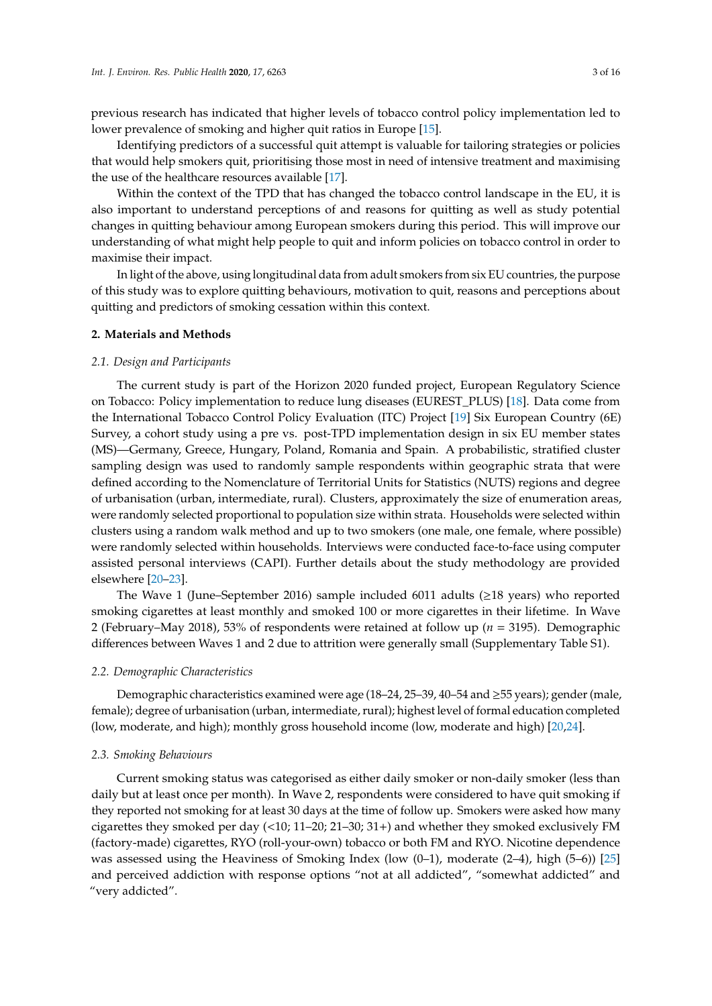previous research has indicated that higher levels of tobacco control policy implementation led to lower prevalence of smoking and higher quit ratios in Europe [\[15\]](#page-12-13).

Identifying predictors of a successful quit attempt is valuable for tailoring strategies or policies that would help smokers quit, prioritising those most in need of intensive treatment and maximising the use of the healthcare resources available [\[17\]](#page-12-15).

Within the context of the TPD that has changed the tobacco control landscape in the EU, it is also important to understand perceptions of and reasons for quitting as well as study potential changes in quitting behaviour among European smokers during this period. This will improve our understanding of what might help people to quit and inform policies on tobacco control in order to maximise their impact.

In light of the above, using longitudinal data from adult smokers from six EU countries, the purpose of this study was to explore quitting behaviours, motivation to quit, reasons and perceptions about quitting and predictors of smoking cessation within this context.

### **2. Materials and Methods**

#### *2.1. Design and Participants*

The current study is part of the Horizon 2020 funded project, European Regulatory Science on Tobacco: Policy implementation to reduce lung diseases (EUREST\_PLUS) [\[18\]](#page-12-16). Data come from the International Tobacco Control Policy Evaluation (ITC) Project [\[19\]](#page-12-17) Six European Country (6E) Survey, a cohort study using a pre vs. post-TPD implementation design in six EU member states (MS)—Germany, Greece, Hungary, Poland, Romania and Spain. A probabilistic, stratified cluster sampling design was used to randomly sample respondents within geographic strata that were defined according to the Nomenclature of Territorial Units for Statistics (NUTS) regions and degree of urbanisation (urban, intermediate, rural). Clusters, approximately the size of enumeration areas, were randomly selected proportional to population size within strata. Households were selected within clusters using a random walk method and up to two smokers (one male, one female, where possible) were randomly selected within households. Interviews were conducted face-to-face using computer assisted personal interviews (CAPI). Further details about the study methodology are provided elsewhere [\[20](#page-13-0)[–23\]](#page-13-1).

The Wave 1 (June–September 2016) sample included 6011 adults ( $\geq$ 18 years) who reported smoking cigarettes at least monthly and smoked 100 or more cigarettes in their lifetime. In Wave 2 (February–May 2018), 53% of respondents were retained at follow up (*n* = 3195). Demographic differences between Waves 1 and 2 due to attrition were generally small (Supplementary Table S1).

#### *2.2. Demographic Characteristics*

Demographic characteristics examined were age (18–24, 25–39, 40–54 and ≥55 years); gender (male, female); degree of urbanisation (urban, intermediate, rural); highest level of formal education completed (low, moderate, and high); monthly gross household income (low, moderate and high) [\[20,](#page-13-0)[24\]](#page-13-2).

#### *2.3. Smoking Behaviours*

Current smoking status was categorised as either daily smoker or non-daily smoker (less than daily but at least once per month). In Wave 2, respondents were considered to have quit smoking if they reported not smoking for at least 30 days at the time of follow up. Smokers were asked how many cigarettes they smoked per day (<10; 11–20; 21–30; 31+) and whether they smoked exclusively FM (factory-made) cigarettes, RYO (roll-your-own) tobacco or both FM and RYO. Nicotine dependence was assessed using the Heaviness of Smoking Index (low  $(0-1)$ , moderate  $(2-4)$ , high  $(5-6)$ )  $[25]$ and perceived addiction with response options "not at all addicted", "somewhat addicted" and "very addicted".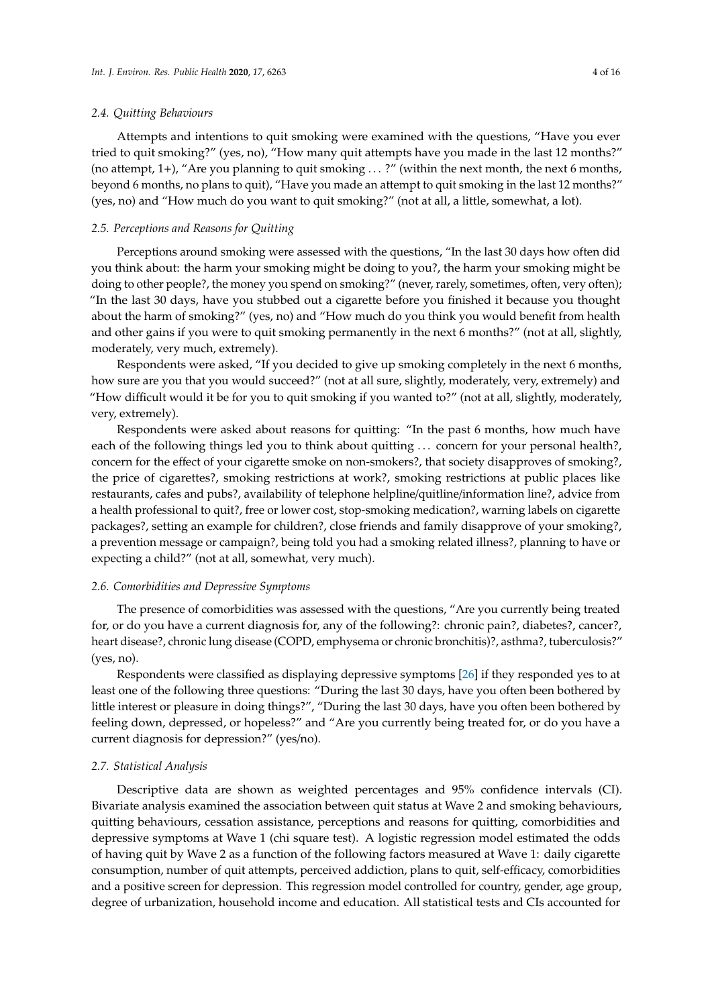#### *2.4. Quitting Behaviours*

Attempts and intentions to quit smoking were examined with the questions, "Have you ever tried to quit smoking?" (yes, no), "How many quit attempts have you made in the last 12 months?" (no attempt, 1+), "Are you planning to quit smoking . . . ?" (within the next month, the next 6 months, beyond 6 months, no plans to quit), "Have you made an attempt to quit smoking in the last 12 months?" (yes, no) and "How much do you want to quit smoking?" (not at all, a little, somewhat, a lot).

## *2.5. Perceptions and Reasons for Quitting*

Perceptions around smoking were assessed with the questions, "In the last 30 days how often did you think about: the harm your smoking might be doing to you?, the harm your smoking might be doing to other people?, the money you spend on smoking?" (never, rarely, sometimes, often, very often); "In the last 30 days, have you stubbed out a cigarette before you finished it because you thought about the harm of smoking?" (yes, no) and "How much do you think you would benefit from health and other gains if you were to quit smoking permanently in the next 6 months?" (not at all, slightly, moderately, very much, extremely).

Respondents were asked, "If you decided to give up smoking completely in the next 6 months, how sure are you that you would succeed?" (not at all sure, slightly, moderately, very, extremely) and "How difficult would it be for you to quit smoking if you wanted to?" (not at all, slightly, moderately, very, extremely).

Respondents were asked about reasons for quitting: "In the past 6 months, how much have each of the following things led you to think about quitting ... concern for your personal health?, concern for the effect of your cigarette smoke on non-smokers?, that society disapproves of smoking?, the price of cigarettes?, smoking restrictions at work?, smoking restrictions at public places like restaurants, cafes and pubs?, availability of telephone helpline/quitline/information line?, advice from a health professional to quit?, free or lower cost, stop-smoking medication?, warning labels on cigarette packages?, setting an example for children?, close friends and family disapprove of your smoking?, a prevention message or campaign?, being told you had a smoking related illness?, planning to have or expecting a child?" (not at all, somewhat, very much).

#### *2.6. Comorbidities and Depressive Symptoms*

The presence of comorbidities was assessed with the questions, "Are you currently being treated for, or do you have a current diagnosis for, any of the following?: chronic pain?, diabetes?, cancer?, heart disease?, chronic lung disease (COPD, emphysema or chronic bronchitis)?, asthma?, tuberculosis?" (yes, no).

Respondents were classified as displaying depressive symptoms [\[26\]](#page-13-4) if they responded yes to at least one of the following three questions: "During the last 30 days, have you often been bothered by little interest or pleasure in doing things?", "During the last 30 days, have you often been bothered by feeling down, depressed, or hopeless?" and "Are you currently being treated for, or do you have a current diagnosis for depression?" (yes/no).

#### *2.7. Statistical Analysis*

Descriptive data are shown as weighted percentages and 95% confidence intervals (CI). Bivariate analysis examined the association between quit status at Wave 2 and smoking behaviours, quitting behaviours, cessation assistance, perceptions and reasons for quitting, comorbidities and depressive symptoms at Wave 1 (chi square test). A logistic regression model estimated the odds of having quit by Wave 2 as a function of the following factors measured at Wave 1: daily cigarette consumption, number of quit attempts, perceived addiction, plans to quit, self-efficacy, comorbidities and a positive screen for depression. This regression model controlled for country, gender, age group, degree of urbanization, household income and education. All statistical tests and CIs accounted for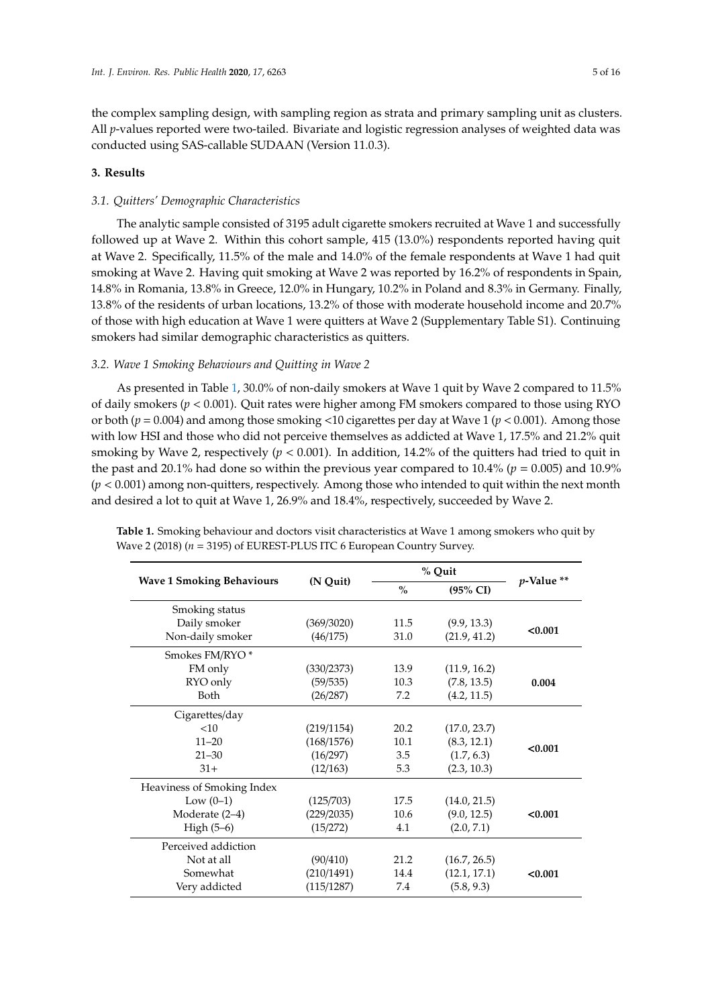the complex sampling design, with sampling region as strata and primary sampling unit as clusters. All *p*-values reported were two-tailed. Bivariate and logistic regression analyses of weighted data was conducted using SAS-callable SUDAAN (Version 11.0.3).

#### **3. Results**

#### *3.1. Quitters' Demographic Characteristics*

The analytic sample consisted of 3195 adult cigarette smokers recruited at Wave 1 and successfully followed up at Wave 2. Within this cohort sample, 415 (13.0%) respondents reported having quit at Wave 2. Specifically, 11.5% of the male and 14.0% of the female respondents at Wave 1 had quit smoking at Wave 2. Having quit smoking at Wave 2 was reported by 16.2% of respondents in Spain, 14.8% in Romania, 13.8% in Greece, 12.0% in Hungary, 10.2% in Poland and 8.3% in Germany. Finally, 13.8% of the residents of urban locations, 13.2% of those with moderate household income and 20.7% of those with high education at Wave 1 were quitters at Wave 2 (Supplementary Table S1). Continuing smokers had similar demographic characteristics as quitters.

#### *3.2. Wave 1 Smoking Behaviours and Quitting in Wave 2*

As presented in Table [1,](#page-4-0) 30.0% of non-daily smokers at Wave 1 quit by Wave 2 compared to 11.5% of daily smokers (*p* < 0.001). Quit rates were higher among FM smokers compared to those using RYO or both (*p* = 0.004) and among those smoking <10 cigarettes per day at Wave 1 (*p* < 0.001). Among those with low HSI and those who did not perceive themselves as addicted at Wave 1, 17.5% and 21.2% quit smoking by Wave 2, respectively ( $p < 0.001$ ). In addition, 14.2% of the quitters had tried to quit in the past and 20.1% had done so within the previous year compared to  $10.4\%$  ( $p = 0.005$ ) and  $10.9\%$ (*p* < 0.001) among non-quitters, respectively. Among those who intended to quit within the next month and desired a lot to quit at Wave 1, 26.9% and 18.4%, respectively, succeeded by Wave 2.

|                                  |            |      | % Quit              |               |  |  |
|----------------------------------|------------|------|---------------------|---------------|--|--|
| <b>Wave 1 Smoking Behaviours</b> | (N Quit)   | $\%$ | $(95\% \text{ CI})$ | $p$ -Value ** |  |  |
| Smoking status                   |            |      |                     |               |  |  |
| Daily smoker                     | (369/3020) | 11.5 | (9.9, 13.3)         | < 0.001       |  |  |
| Non-daily smoker                 | (46/175)   | 31.0 | (21.9, 41.2)        |               |  |  |
| Smokes FM/RYO <sup>*</sup>       |            |      |                     |               |  |  |
| FM only                          | (330/2373) | 13.9 | (11.9, 16.2)        |               |  |  |
| RYO only                         | (59/535)   | 10.3 | (7.8, 13.5)         | 0.004         |  |  |
| <b>Both</b>                      | (26/287)   | 7.2  | (4.2, 11.5)         |               |  |  |
| Cigarettes/day                   |            |      |                     |               |  |  |
| <10                              | (219/1154) | 20.2 | (17.0, 23.7)        |               |  |  |
| $11 - 20$                        | (168/1576) | 10.1 | (8.3, 12.1)         | < 0.001       |  |  |
| $21 - 30$                        | (16/297)   | 3.5  | (1.7, 6.3)          |               |  |  |
| $31+$                            | (12/163)   | 5.3  | (2.3, 10.3)         |               |  |  |
| Heaviness of Smoking Index       |            |      |                     |               |  |  |
| Low $(0-1)$                      | (125/703)  | 17.5 | (14.0, 21.5)        |               |  |  |
| Moderate (2-4)                   | (229/2035) | 10.6 | (9.0, 12.5)         | < 0.001       |  |  |
| High (5–6)                       | (15/272)   | 4.1  | (2.0, 7.1)          |               |  |  |
| Perceived addiction              |            |      |                     |               |  |  |
| Not at all                       | (90/410)   | 21.2 | (16.7, 26.5)        |               |  |  |
| Somewhat                         | (210/1491) | 14.4 | (12.1, 17.1)        | < 0.001       |  |  |
| Very addicted                    | (115/1287) | 7.4  | (5.8, 9.3)          |               |  |  |

<span id="page-4-0"></span>**Table 1.** Smoking behaviour and doctors visit characteristics at Wave 1 among smokers who quit by Wave 2 (2018) (*n* = 3195) of EUREST-PLUS ITC 6 European Country Survey.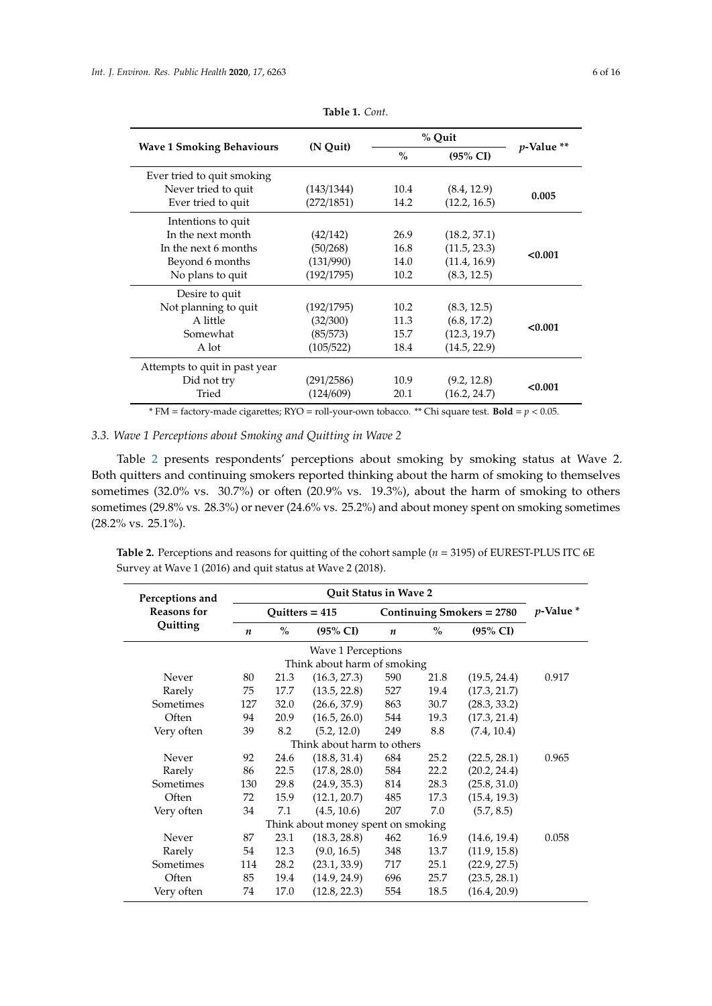|                                  |            |               | % Ouit              |               |  |  |
|----------------------------------|------------|---------------|---------------------|---------------|--|--|
| <b>Wave 1 Smoking Behaviours</b> | (N Quit)   | $\frac{0}{0}$ | $(95\% \text{ CI})$ | $p$ -Value ** |  |  |
| Ever tried to quit smoking       |            |               |                     |               |  |  |
| Never tried to quit              | (143/1344) | 10.4          | (8.4, 12.9)         |               |  |  |
| Ever tried to quit               | (272/1851) | 14.2          | (12.2, 16.5)        | 0.005         |  |  |
| Intentions to quit               |            |               |                     |               |  |  |
| In the next month                | (42/142)   | 26.9          | (18.2, 37.1)        |               |  |  |
| In the next 6 months             | (50/268)   | 16.8          | (11.5, 23.3)        | < 0.001       |  |  |
| Beyond 6 months                  | (131/990)  | 14.0          | (11.4, 16.9)        |               |  |  |
| No plans to quit                 | (192/1795) | 10.2          | (8.3, 12.5)         |               |  |  |
| Desire to quit                   |            |               |                     |               |  |  |
| Not planning to quit             | (192/1795) | 10.2          | (8.3, 12.5)         |               |  |  |
| A little                         | (32/300)   | 11.3          | (6.8, 17.2)         | < 0.001       |  |  |
| Somewhat                         | (85/573)   | 15.7          | (12.3, 19.7)        |               |  |  |
| A lot                            | (105/522)  | 18.4          | (14.5, 22.9)        |               |  |  |
| Attempts to quit in past year    |            |               |                     |               |  |  |
| Did not try                      | (291/2586) | 10.9          | (9.2, 12.8)         |               |  |  |
| Tried                            | (124/609)  | 20.1          | (16.2, 24.7)        | < 0.001       |  |  |

**Table 1.** *Cont.*

\* FM = factory-made cigarettes; RYO = roll-your-own tobacco. \*\* Chi square test. **Bold** = *p* < 0.05.

#### *3.3. Wave 1 Perceptions about Smoking and Quitting in Wave 2*

Table [2](#page-5-0) presents respondents' perceptions about smoking by smoking status at Wave 2. Both quitters and continuing smokers reported thinking about the harm of smoking to themselves sometimes (32.0% vs. 30.7%) or often (20.9% vs. 19.3%), about the harm of smoking to others sometimes (29.8% vs. 28.3%) or never (24.6% vs. 25.2%) and about money spent on smoking sometimes (28.2% vs. 25.1%).

<span id="page-5-0"></span>**Table 2.** Perceptions and reasons for quitting of the cohort sample (*n* = 3195) of EUREST-PLUS ITC 6E Survey at Wave 1 (2016) and quit status at Wave 2 (2018).

| Perceptions and    |     |                  |                                    |     |      |                                  |                |
|--------------------|-----|------------------|------------------------------------|-----|------|----------------------------------|----------------|
| <b>Reasons for</b> |     | Quitters = $415$ |                                    |     |      | <b>Continuing Smokers = 2780</b> | $p$ -Value $*$ |
| Quitting           | n   | $\%$             | (95% CI)                           | n   | $\%$ | $(95\% \text{ CI})$              |                |
|                    |     |                  | Wave 1 Perceptions                 |     |      |                                  |                |
|                    |     |                  | Think about harm of smoking        |     |      |                                  |                |
| Never              | 80  | 21.3             | (16.3, 27.3)                       | 590 | 21.8 | (19.5, 24.4)                     | 0.917          |
| Rarely             | 75  | 17.7             | (13.5, 22.8)                       | 527 | 19.4 | (17.3, 21.7)                     |                |
| Sometimes          | 127 | 32.0             | (26.6, 37.9)                       | 863 | 30.7 | (28.3, 33.2)                     |                |
| Often              | 94  | 20.9             | (16.5, 26.0)                       | 544 | 19.3 | (17.3, 21.4)                     |                |
| Very often         | 39  | 8.2              | (5.2, 12.0)                        | 249 | 8.8  | (7.4, 10.4)                      |                |
|                    |     |                  | Think about harm to others         |     |      |                                  |                |
| Never              | 92  | 24.6             | (18.8, 31.4)                       | 684 | 25.2 | (22.5, 28.1)                     | 0.965          |
| Rarely             | 86  | 22.5             | (17.8, 28.0)                       | 584 | 22.2 | (20.2, 24.4)                     |                |
| Sometimes          | 130 | 29.8             | (24.9, 35.3)                       | 814 | 28.3 | (25.8, 31.0)                     |                |
| Often              | 72  | 15.9             | (12.1, 20.7)                       | 485 | 17.3 | (15.4, 19.3)                     |                |
| Very often         | 34  | 7.1              | (4.5, 10.6)                        | 207 | 7.0  | (5.7, 8.5)                       |                |
|                    |     |                  | Think about money spent on smoking |     |      |                                  |                |
| Never              | 87  | 23.1             | (18.3, 28.8)                       | 462 | 16.9 | (14.6, 19.4)                     | 0.058          |
| Rarely             | 54  | 12.3             | (9.0, 16.5)                        | 348 | 13.7 | (11.9, 15.8)                     |                |
| Sometimes          | 114 | 28.2             | (23.1, 33.9)                       | 717 | 25.1 | (22.9, 27.5)                     |                |
| Often              | 85  | 19.4             | (14.9, 24.9)                       | 696 | 25.7 | (23.5, 28.1)                     |                |
| Very often         | 74  | 17.0             | (12.8, 22.3)                       | 554 | 18.5 | (16.4, 20.9)                     |                |
|                    |     |                  |                                    |     |      |                                  |                |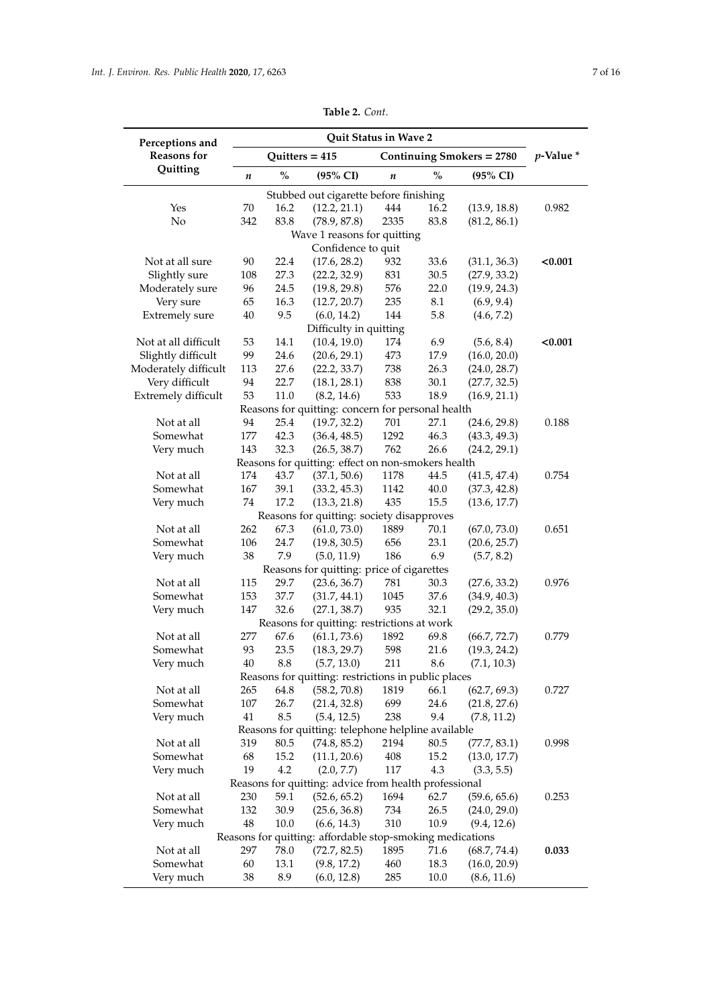| Perceptions and       |     |              |                                                           | Quit Status in Wave 2 |      |                                  |              |
|-----------------------|-----|--------------|-----------------------------------------------------------|-----------------------|------|----------------------------------|--------------|
| <b>Reasons</b> for    |     |              | Quitters = $415$                                          |                       |      | <b>Continuing Smokers = 2780</b> | $p$ -Value * |
| Quitting              | n   | $\%$         | (95% CI)                                                  | n                     | $\%$ | (95% CI)                         |              |
|                       |     |              | Stubbed out cigarette before finishing                    |                       |      |                                  |              |
| Yes                   | 70  | 16.2         | (12.2, 21.1)                                              | 444                   | 16.2 | (13.9, 18.8)                     | 0.982        |
| No                    | 342 | 83.8         | (78.9, 87.8)                                              | 2335                  | 83.8 | (81.2, 86.1)                     |              |
|                       |     |              | Wave 1 reasons for quitting                               |                       |      |                                  |              |
|                       |     |              | Confidence to quit                                        |                       |      |                                  |              |
| Not at all sure       | 90  | 22.4         | (17.6, 28.2)                                              | 932                   | 33.6 | (31.1, 36.3)                     | < 0.001      |
| Slightly sure         | 108 | 27.3         | (22.2, 32.9)                                              | 831                   | 30.5 | (27.9, 33.2)                     |              |
| Moderately sure       | 96  | 24.5         | (19.8, 29.8)                                              | 576                   | 22.0 | (19.9, 24.3)                     |              |
| Very sure             | 65  | 16.3         | (12.7, 20.7)                                              | 235                   | 8.1  | (6.9, 9.4)                       |              |
| <b>Extremely</b> sure | 40  | 9.5          | (6.0, 14.2)                                               | 144                   | 5.8  | (4.6, 7.2)                       |              |
|                       |     |              | Difficulty in quitting                                    |                       |      |                                  |              |
| Not at all difficult  | 53  | 14.1         | (10.4, 19.0)                                              | 174                   | 6.9  | (5.6, 8.4)                       | < 0.001      |
| Slightly difficult    | 99  | 24.6         | (20.6, 29.1)                                              | 473                   | 17.9 | (16.0, 20.0)                     |              |
| Moderately difficult  | 113 | 27.6         | (22.2, 33.7)                                              | 738                   | 26.3 | (24.0, 28.7)                     |              |
| Very difficult        | 94  | 22.7         | (18.1, 28.1)                                              | 838                   | 30.1 | (27.7, 32.5)                     |              |
| Extremely difficult   | 53  | 11.0         | (8.2, 14.6)                                               | 533                   | 18.9 | (16.9, 21.1)                     |              |
|                       |     |              | Reasons for quitting: concern for personal health         |                       |      |                                  |              |
| Not at all            | 94  | 25.4         | (19.7, 32.2)                                              | 701                   | 27.1 | (24.6, 29.8)                     | 0.188        |
| Somewhat              | 177 | 42.3         | (36.4, 48.5)                                              | 1292                  | 46.3 | (43.3, 49.3)                     |              |
| Very much             | 143 | 32.3         | (26.5, 38.7)                                              | 762                   | 26.6 | (24.2, 29.1)                     |              |
|                       |     |              | Reasons for quitting: effect on non-smokers health        |                       |      |                                  |              |
| Not at all            | 174 | 43.7         | (37.1, 50.6)                                              | 1178                  | 44.5 | (41.5, 47.4)                     | 0.754        |
| Somewhat              | 167 | 39.1         | (33.2, 45.3)                                              | 1142                  | 40.0 | (37.3, 42.8)                     |              |
| Very much             | 74  | 17.2         | (13.3, 21.8)                                              | 435                   | 15.5 | (13.6, 17.7)                     |              |
|                       |     |              | Reasons for quitting: society disapproves                 |                       |      |                                  |              |
| Not at all            | 262 | 67.3         | (61.0, 73.0)                                              | 1889                  | 70.1 | (67.0, 73.0)                     | 0.651        |
| Somewhat              | 106 | 24.7         | (19.8, 30.5)                                              | 656                   | 23.1 | (20.6, 25.7)                     |              |
| Very much             | 38  | 7.9          | (5.0, 11.9)                                               | 186                   | 6.9  | (5.7, 8.2)                       |              |
|                       |     |              | Reasons for quitting: price of cigarettes                 |                       |      |                                  |              |
| Not at all            | 115 | 29.7         | (23.6, 36.7)                                              | 781                   | 30.3 | (27.6, 33.2)                     | 0.976        |
| Somewhat              | 153 | 37.7         | (31.7, 44.1)                                              | 1045                  | 37.6 | (34.9, 40.3)                     |              |
| Very much             | 147 | 32.6         | (27.1, 38.7)                                              | 935                   | 32.1 | (29.2, 35.0)                     |              |
|                       |     |              | Reasons for quitting: restrictions at work                |                       | 69.8 |                                  |              |
| Not at all            | 277 | 67.6         | (61.1, 73.6)                                              | 1892                  |      | (66.7, 72.7)                     | 0.779        |
| Somewhat              | 93  | 23.5         | (18.3, 29.7)                                              | 598                   | 21.6 | (19.3, 24.2)                     |              |
| Very much             | 40  | 8.8          | (5.7, 13.0)                                               | 211                   | 8.6  | (7.1, 10.3)                      |              |
| Not at all            | 265 |              | Reasons for quitting: restrictions in public places       | 1819                  | 66.1 |                                  | 0.727        |
| Somewhat              | 107 | 64.8<br>26.7 | (58.2, 70.8)<br>(21.4, 32.8)                              | 699                   | 24.6 | (62.7, 69.3)<br>(21.8, 27.6)     |              |
| Very much             | 41  | 8.5          | (5.4, 12.5)                                               | 238                   | 9.4  | (7.8, 11.2)                      |              |
|                       |     |              | Reasons for quitting: telephone helpline available        |                       |      |                                  |              |
| Not at all            | 319 | 80.5         | (74.8, 85.2)                                              | 2194                  | 80.5 | (77.7, 83.1)                     | 0.998        |
| Somewhat              | 68  | 15.2         | (11.1, 20.6)                                              | 408                   | 15.2 | (13.0, 17.7)                     |              |
| Very much             | 19  | 4.2          | (2.0, 7.7)                                                | 117                   | 4.3  | (3.3, 5.5)                       |              |
|                       |     |              | Reasons for quitting: advice from health professional     |                       |      |                                  |              |
| Not at all            | 230 | 59.1         | (52.6, 65.2)                                              | 1694                  | 62.7 | (59.6, 65.6)                     | 0.253        |
| Somewhat              | 132 | 30.9         | (25.6, 36.8)                                              | 734                   | 26.5 | (24.0, 29.0)                     |              |
| Very much             | 48  | 10.0         | (6.6, 14.3)                                               | 310                   | 10.9 | (9.4, 12.6)                      |              |
|                       |     |              | Reasons for quitting: affordable stop-smoking medications |                       |      |                                  |              |
| Not at all            | 297 | 78.0         | (72.7, 82.5)                                              | 1895                  | 71.6 | (68.7, 74.4)                     | 0.033        |
| Somewhat              | 60  | 13.1         | (9.8, 17.2)                                               | 460                   | 18.3 | (16.0, 20.9)                     |              |
| Very much             | 38  | 8.9          | (6.0, 12.8)                                               | 285                   | 10.0 | (8.6, 11.6)                      |              |
|                       |     |              |                                                           |                       |      |                                  |              |

**Table 2.** *Cont.*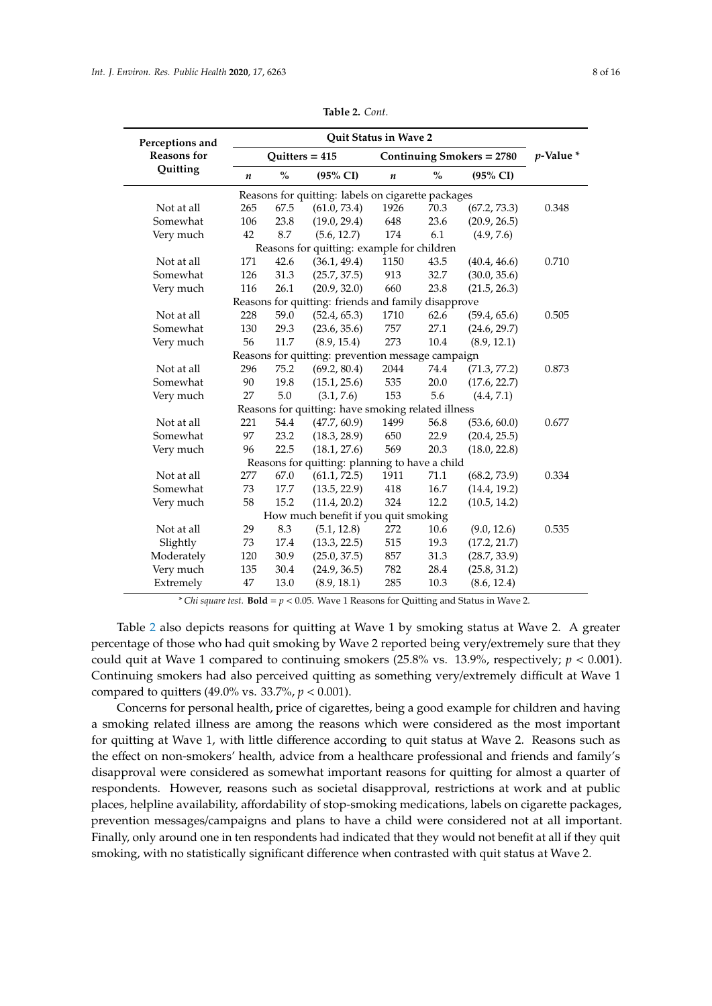| Perceptions and    | Quit Status in Wave 2 |                  |                                                     |                  |      |                                  |              |
|--------------------|-----------------------|------------------|-----------------------------------------------------|------------------|------|----------------------------------|--------------|
| <b>Reasons for</b> |                       | $Quitters = 415$ |                                                     |                  |      | <b>Continuing Smokers = 2780</b> | $p$ -Value * |
| Quitting           | $\boldsymbol{n}$      | $\%$             | (95% CI)                                            | $\boldsymbol{n}$ | $\%$ | (95% CI)                         |              |
|                    |                       |                  | Reasons for quitting: labels on cigarette packages  |                  |      |                                  |              |
| Not at all         | 265                   | 67.5             | (61.0, 73.4)                                        | 1926             | 70.3 | (67.2, 73.3)                     | 0.348        |
| Somewhat           | 106                   | 23.8             | (19.0, 29.4)                                        | 648              | 23.6 | (20.9, 26.5)                     |              |
| Very much          | 42                    | 8.7              | (5.6, 12.7)                                         | 174              | 6.1  | (4.9, 7.6)                       |              |
|                    |                       |                  | Reasons for quitting: example for children          |                  |      |                                  |              |
| Not at all         | 171                   | 42.6             | (36.1, 49.4)                                        | 1150             | 43.5 | (40.4, 46.6)                     | 0.710        |
| Somewhat           | 126                   | 31.3             | (25.7, 37.5)                                        | 913              | 32.7 | (30.0, 35.6)                     |              |
| Very much          | 116                   | 26.1             | (20.9, 32.0)                                        | 660              | 23.8 | (21.5, 26.3)                     |              |
|                    |                       |                  | Reasons for quitting: friends and family disapprove |                  |      |                                  |              |
| Not at all         | 228                   | 59.0             | (52.4, 65.3)                                        | 1710             | 62.6 | (59.4, 65.6)                     | 0.505        |
| Somewhat           | 130                   | 29.3             | (23.6, 35.6)                                        | 757              | 27.1 | (24.6, 29.7)                     |              |
| Very much          | 56                    | 11.7             | (8.9, 15.4)                                         | 273              | 10.4 | (8.9, 12.1)                      |              |
|                    |                       |                  | Reasons for quitting: prevention message campaign   |                  |      |                                  |              |
| Not at all         | 296                   | 75.2             | (69.2, 80.4)                                        | 2044             | 74.4 | (71.3, 77.2)                     | 0.873        |
| Somewhat           | 90                    | 19.8             | (15.1, 25.6)                                        | 535              | 20.0 | (17.6, 22.7)                     |              |
| Very much          | 27                    | 5.0              | (3.1, 7.6)                                          | 153              | 5.6  | (4.4, 7.1)                       |              |
|                    |                       |                  | Reasons for quitting: have smoking related illness  |                  |      |                                  |              |
| Not at all         | 221                   | 54.4             | (47.7, 60.9)                                        | 1499             | 56.8 | (53.6, 60.0)                     | 0.677        |
| Somewhat           | 97                    | 23.2             | (18.3, 28.9)                                        | 650              | 22.9 | (20.4, 25.5)                     |              |
| Very much          | 96                    | 22.5             | (18.1, 27.6)                                        | 569              | 20.3 | (18.0, 22.8)                     |              |
|                    |                       |                  | Reasons for quitting: planning to have a child      |                  |      |                                  |              |
| Not at all         | 277                   | 67.0             | (61.1, 72.5)                                        | 1911             | 71.1 | (68.2, 73.9)                     | 0.334        |
| Somewhat           | 73                    | 17.7             | (13.5, 22.9)                                        | 418              | 16.7 | (14.4, 19.2)                     |              |
| Very much          | 58                    | 15.2             | (11.4, 20.2)                                        | 324              | 12.2 | (10.5, 14.2)                     |              |
|                    |                       |                  | How much benefit if you quit smoking                |                  |      |                                  |              |
| Not at all         | 29                    | 8.3              | (5.1, 12.8)                                         | 272              | 10.6 | (9.0, 12.6)                      | 0.535        |
| Slightly           | 73                    | 17.4             | (13.3, 22.5)                                        | 515              | 19.3 | (17.2, 21.7)                     |              |
| Moderately         | 120                   | 30.9             | (25.0, 37.5)                                        | 857              | 31.3 | (28.7, 33.9)                     |              |
| Very much          | 135                   | 30.4             | (24.9, 36.5)                                        | 782              | 28.4 | (25.8, 31.2)                     |              |
| Extremely          | 47                    | 13.0             | (8.9, 18.1)                                         | 285              | 10.3 | (8.6, 12.4)                      |              |

**Table 2.** *Cont.*

*\* Chi square test.* **Bold** = *p* < 0.05. Wave 1 Reasons for Quitting and Status in Wave 2.

Table [2](#page-5-0) also depicts reasons for quitting at Wave 1 by smoking status at Wave 2. A greater percentage of those who had quit smoking by Wave 2 reported being very/extremely sure that they could quit at Wave 1 compared to continuing smokers  $(25.8\% \text{ vs. } 13.9\%$ , respectively;  $p < 0.001$ ). Continuing smokers had also perceived quitting as something very/extremely difficult at Wave 1 compared to quitters (49.0% vs. 33.7%, *p* < 0.001).

Concerns for personal health, price of cigarettes, being a good example for children and having a smoking related illness are among the reasons which were considered as the most important for quitting at Wave 1, with little difference according to quit status at Wave 2. Reasons such as the effect on non-smokers' health, advice from a healthcare professional and friends and family's disapproval were considered as somewhat important reasons for quitting for almost a quarter of respondents. However, reasons such as societal disapproval, restrictions at work and at public places, helpline availability, affordability of stop-smoking medications, labels on cigarette packages, prevention messages/campaigns and plans to have a child were considered not at all important. Finally, only around one in ten respondents had indicated that they would not benefit at all if they quit smoking, with no statistically significant difference when contrasted with quit status at Wave 2.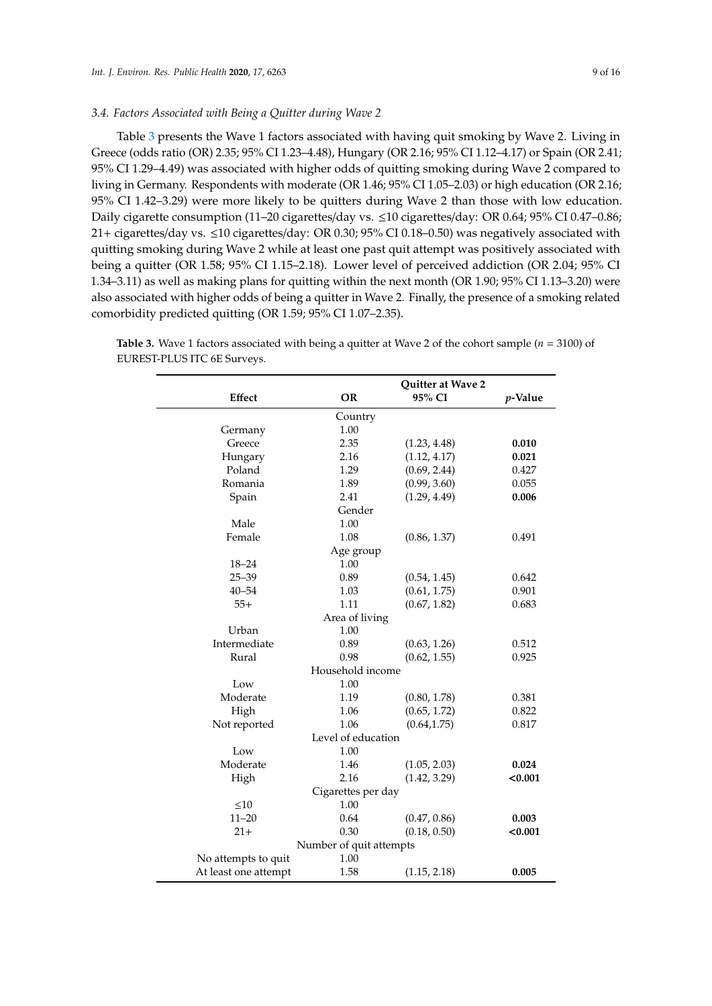## *3.4. Factors Associated with Being a Quitter during Wave 2*

Table [3](#page-8-0) presents the Wave 1 factors associated with having quit smoking by Wave 2. Living in Greece (odds ratio (OR) 2.35; 95% CI 1.23–4.48), Hungary (OR 2.16; 95% CI 1.12–4.17) or Spain (OR 2.41; 95% CI 1.29–4.49) was associated with higher odds of quitting smoking during Wave 2 compared to living in Germany. Respondents with moderate (OR 1.46; 95% CI 1.05–2.03) or high education (OR 2.16; 95% CI 1.42–3.29) were more likely to be quitters during Wave 2 than those with low education. Daily cigarette consumption (11–20 cigarettes/day vs. ≤10 cigarettes/day: OR 0.64; 95% CI 0.47–0.86; 21+ cigarettes/day vs. ≤10 cigarettes/day: OR 0.30; 95% CI 0.18–0.50) was negatively associated with quitting smoking during Wave 2 while at least one past quit attempt was positively associated with being a quitter (OR 1.58; 95% CI 1.15–2.18). Lower level of perceived addiction (OR 2.04; 95% CI 1.34–3.11) as well as making plans for quitting within the next month (OR 1.90; 95% CI 1.13–3.20) were also associated with higher odds of being a quitter in Wave 2. Finally, the presence of a smoking related comorbidity predicted quitting (OR 1.59; 95% CI 1.07–2.35).

|                      |                         | Quitter at Wave 2 |            |
|----------------------|-------------------------|-------------------|------------|
| <b>Effect</b>        | <b>OR</b>               | 95% CI            | $p$ -Value |
|                      | Country                 |                   |            |
| Germany              | 1.00                    |                   |            |
| Greece               | 2.35                    | (1.23, 4.48)      | 0.010      |
| Hungary              | 2.16                    | (1.12, 4.17)      | 0.021      |
| Poland               | 1.29                    | (0.69, 2.44)      | 0.427      |
| Romania              | 1.89                    | (0.99, 3.60)      | 0.055      |
| Spain                | 2.41                    | (1.29, 4.49)      | 0.006      |
|                      | Gender                  |                   |            |
| Male                 | 1.00                    |                   |            |
| Female               | 1.08                    | (0.86, 1.37)      | 0.491      |
|                      | Age group               |                   |            |
| $18 - 24$            | 1.00                    |                   |            |
| $25 - 39$            | 0.89                    | (0.54, 1.45)      | 0.642      |
| $40 - 54$            | 1.03                    | (0.61, 1.75)      | 0.901      |
| $55+$                | 1.11                    | (0.67, 1.82)      | 0.683      |
|                      | Area of living          |                   |            |
| Urban                | 1.00                    |                   |            |
| Intermediate         | 0.89                    | (0.63, 1.26)      | 0.512      |
| Rural                | 0.98                    | (0.62, 1.55)      | 0.925      |
|                      | Household income        |                   |            |
| Low                  | 1.00                    |                   |            |
| Moderate             | 1.19                    | (0.80, 1.78)      | 0.381      |
| High                 | 1.06                    | (0.65, 1.72)      | 0.822      |
| Not reported         | 1.06                    | (0.64, 1.75)      | 0.817      |
|                      | Level of education      |                   |            |
| Low                  | 1.00                    |                   |            |
| Moderate             | 1.46                    | (1.05, 2.03)      | 0.024      |
| High                 | 2.16                    | (1.42, 3.29)      | < 0.001    |
|                      | Cigarettes per day      |                   |            |
| <10                  | 1.00                    |                   |            |
| $11 - 20$            | 0.64                    | (0.47, 0.86)      | 0.003      |
| $21+$                | 0.30                    | (0.18, 0.50)      | < 0.001    |
|                      | Number of quit attempts |                   |            |
| No attempts to quit  | 1.00                    |                   |            |
| At least one attempt | 1.58                    | (1.15, 2.18)      | 0.005      |

<span id="page-8-0"></span>**Table 3.** Wave 1 factors associated with being a quitter at Wave 2 of the cohort sample (*n* = 3100) of EUREST-PLUS ITC 6E Surveys.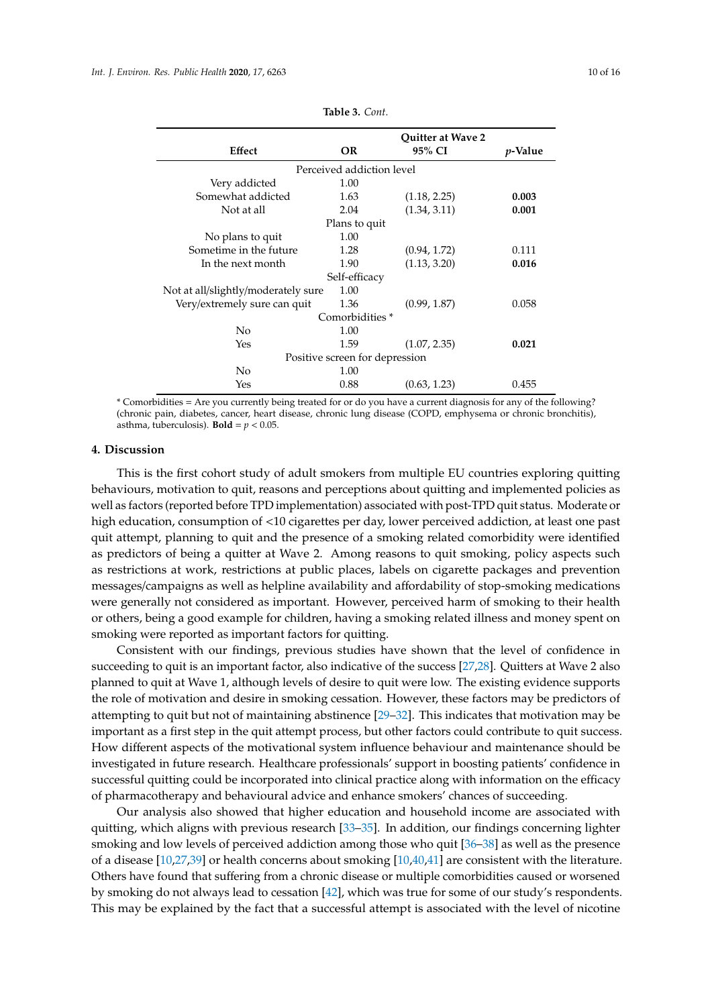| Effect                              | OR                         | <b>Quitter at Wave 2</b><br>95% CI | <i>p</i> -Value |
|-------------------------------------|----------------------------|------------------------------------|-----------------|
|                                     | Perceived addiction level  |                                    |                 |
| Very addicted                       | 1.00                       |                                    |                 |
| Somewhat addicted                   | 1.63                       | (1.18, 2.25)                       | 0.003           |
| Not at all                          | 2.04                       | (1.34, 3.11)                       | 0.001           |
|                                     | Plans to quit              |                                    |                 |
| No plans to quit                    | 1.00                       |                                    |                 |
| Sometime in the future              | 1.28                       | (0.94, 1.72)                       | 0.111           |
| In the next month                   | 1.90                       | (1.13, 3.20)                       | 0.016           |
|                                     | Self-efficacy              |                                    |                 |
| Not at all/slightly/moderately sure | 1.00                       |                                    |                 |
| Very/extremely sure can quit        | 1.36                       | (0.99, 1.87)                       | 0.058           |
|                                     | Comorbidities <sup>*</sup> |                                    |                 |
| No                                  | 1.00                       |                                    |                 |
| Yes                                 | 1.59                       | (1.07, 2.35)                       | 0.021           |
|                                     |                            | Positive screen for depression     |                 |
| No                                  | 1.00                       |                                    |                 |
| Yes                                 | 0.88                       | (0.63, 1.23)                       | 0.455           |
|                                     |                            |                                    |                 |

**Table 3.** *Cont.*

\* Comorbidities = Are you currently being treated for or do you have a current diagnosis for any of the following? (chronic pain, diabetes, cancer, heart disease, chronic lung disease (COPD, emphysema or chronic bronchitis), asthma, tuberculosis). **Bold** =  $p < 0.05$ .

#### **4. Discussion**

This is the first cohort study of adult smokers from multiple EU countries exploring quitting behaviours, motivation to quit, reasons and perceptions about quitting and implemented policies as well as factors (reported before TPD implementation) associated with post-TPD quit status. Moderate or high education, consumption of <10 cigarettes per day, lower perceived addiction, at least one past quit attempt, planning to quit and the presence of a smoking related comorbidity were identified as predictors of being a quitter at Wave 2. Among reasons to quit smoking, policy aspects such as restrictions at work, restrictions at public places, labels on cigarette packages and prevention messages/campaigns as well as helpline availability and affordability of stop-smoking medications were generally not considered as important. However, perceived harm of smoking to their health or others, being a good example for children, having a smoking related illness and money spent on smoking were reported as important factors for quitting.

Consistent with our findings, previous studies have shown that the level of confidence in succeeding to quit is an important factor, also indicative of the success [\[27](#page-13-5)[,28\]](#page-13-6). Quitters at Wave 2 also planned to quit at Wave 1, although levels of desire to quit were low. The existing evidence supports the role of motivation and desire in smoking cessation. However, these factors may be predictors of attempting to quit but not of maintaining abstinence [\[29](#page-13-7)[–32\]](#page-13-8). This indicates that motivation may be important as a first step in the quit attempt process, but other factors could contribute to quit success. How different aspects of the motivational system influence behaviour and maintenance should be investigated in future research. Healthcare professionals' support in boosting patients' confidence in successful quitting could be incorporated into clinical practice along with information on the efficacy of pharmacotherapy and behavioural advice and enhance smokers' chances of succeeding.

Our analysis also showed that higher education and household income are associated with quitting, which aligns with previous research [\[33](#page-13-9)[–35\]](#page-13-10). In addition, our findings concerning lighter smoking and low levels of perceived addiction among those who quit [\[36–](#page-13-11)[38\]](#page-14-0) as well as the presence of a disease [\[10](#page-12-8)[,27](#page-13-5)[,39\]](#page-14-1) or health concerns about smoking [\[10](#page-12-8)[,40](#page-14-2)[,41\]](#page-14-3) are consistent with the literature. Others have found that suffering from a chronic disease or multiple comorbidities caused or worsened by smoking do not always lead to cessation [\[42\]](#page-14-4), which was true for some of our study's respondents. This may be explained by the fact that a successful attempt is associated with the level of nicotine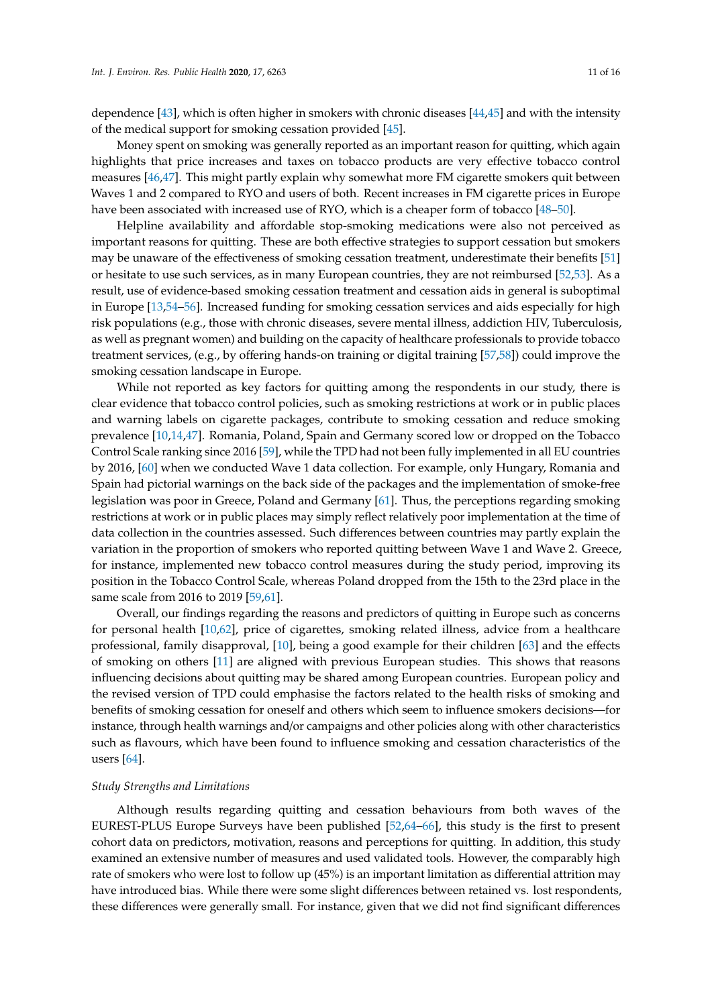dependence [\[43\]](#page-14-5), which is often higher in smokers with chronic diseases [\[44](#page-14-6)[,45\]](#page-14-7) and with the intensity of the medical support for smoking cessation provided [\[45\]](#page-14-7).

Money spent on smoking was generally reported as an important reason for quitting, which again highlights that price increases and taxes on tobacco products are very effective tobacco control measures [\[46,](#page-14-8)[47\]](#page-14-9). This might partly explain why somewhat more FM cigarette smokers quit between Waves 1 and 2 compared to RYO and users of both. Recent increases in FM cigarette prices in Europe have been associated with increased use of RYO, which is a cheaper form of tobacco [\[48](#page-14-10)[–50\]](#page-14-11).

Helpline availability and affordable stop-smoking medications were also not perceived as important reasons for quitting. These are both effective strategies to support cessation but smokers may be unaware of the effectiveness of smoking cessation treatment, underestimate their benefits [\[51\]](#page-14-12) or hesitate to use such services, as in many European countries, they are not reimbursed [\[52,](#page-14-13)[53\]](#page-14-14). As a result, use of evidence-based smoking cessation treatment and cessation aids in general is suboptimal in Europe [\[13](#page-12-11)[,54–](#page-14-15)[56\]](#page-15-0). Increased funding for smoking cessation services and aids especially for high risk populations (e.g., those with chronic diseases, severe mental illness, addiction HIV, Tuberculosis, as well as pregnant women) and building on the capacity of healthcare professionals to provide tobacco treatment services, (e.g., by offering hands-on training or digital training [\[57,](#page-15-1)[58\]](#page-15-2)) could improve the smoking cessation landscape in Europe.

While not reported as key factors for quitting among the respondents in our study, there is clear evidence that tobacco control policies, such as smoking restrictions at work or in public places and warning labels on cigarette packages, contribute to smoking cessation and reduce smoking prevalence [\[10](#page-12-8)[,14,](#page-12-12)[47\]](#page-14-9). Romania, Poland, Spain and Germany scored low or dropped on the Tobacco Control Scale ranking since 2016 [\[59\]](#page-15-3), while the TPD had not been fully implemented in all EU countries by 2016, [\[60\]](#page-15-4) when we conducted Wave 1 data collection. For example, only Hungary, Romania and Spain had pictorial warnings on the back side of the packages and the implementation of smoke-free legislation was poor in Greece, Poland and Germany [\[61\]](#page-15-5). Thus, the perceptions regarding smoking restrictions at work or in public places may simply reflect relatively poor implementation at the time of data collection in the countries assessed. Such differences between countries may partly explain the variation in the proportion of smokers who reported quitting between Wave 1 and Wave 2. Greece, for instance, implemented new tobacco control measures during the study period, improving its position in the Tobacco Control Scale, whereas Poland dropped from the 15th to the 23rd place in the same scale from 2016 to 2019 [\[59,](#page-15-3)[61\]](#page-15-5).

Overall, our findings regarding the reasons and predictors of quitting in Europe such as concerns for personal health [\[10,](#page-12-8)[62\]](#page-15-6), price of cigarettes, smoking related illness, advice from a healthcare professional, family disapproval, [\[10\]](#page-12-8), being a good example for their children [\[63\]](#page-15-7) and the effects of smoking on others [\[11\]](#page-12-9) are aligned with previous European studies. This shows that reasons influencing decisions about quitting may be shared among European countries. European policy and the revised version of TPD could emphasise the factors related to the health risks of smoking and benefits of smoking cessation for oneself and others which seem to influence smokers decisions—for instance, through health warnings and/or campaigns and other policies along with other characteristics such as flavours, which have been found to influence smoking and cessation characteristics of the users [\[64\]](#page-15-8).

#### *Study Strengths and Limitations*

Although results regarding quitting and cessation behaviours from both waves of the EUREST-PLUS Europe Surveys have been published [\[52](#page-14-13)[,64](#page-15-8)[–66\]](#page-15-9), this study is the first to present cohort data on predictors, motivation, reasons and perceptions for quitting. In addition, this study examined an extensive number of measures and used validated tools. However, the comparably high rate of smokers who were lost to follow up (45%) is an important limitation as differential attrition may have introduced bias. While there were some slight differences between retained vs. lost respondents, these differences were generally small. For instance, given that we did not find significant differences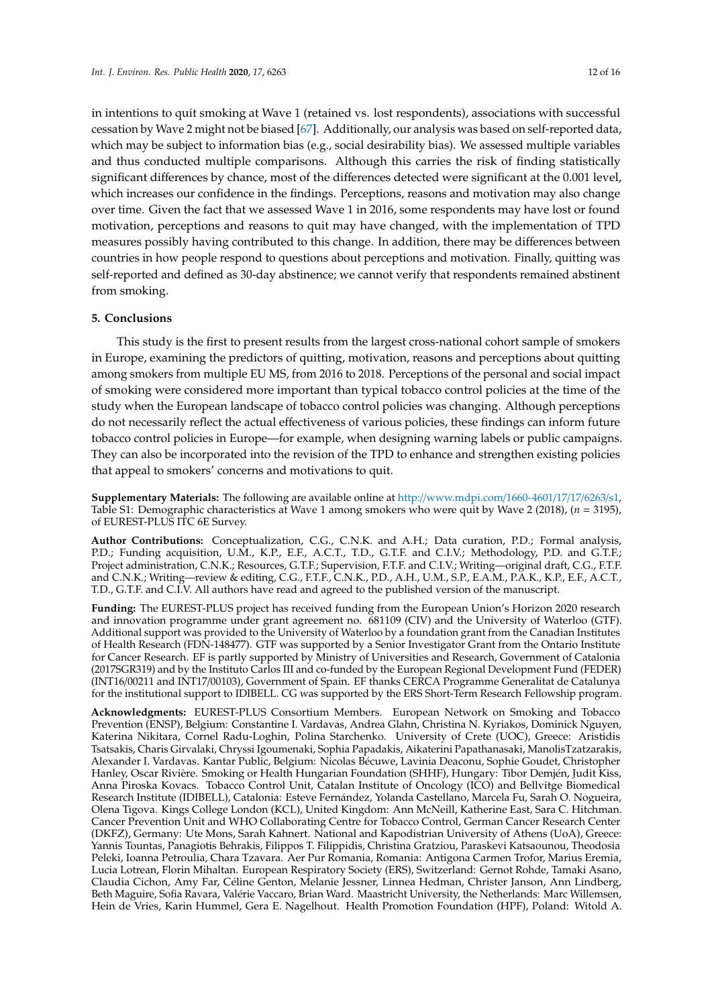in intentions to quit smoking at Wave 1 (retained vs. lost respondents), associations with successful cessation by Wave 2 might not be biased [\[67\]](#page-15-10). Additionally, our analysis was based on self-reported data, which may be subject to information bias (e.g., social desirability bias). We assessed multiple variables and thus conducted multiple comparisons. Although this carries the risk of finding statistically significant differences by chance, most of the differences detected were significant at the 0.001 level, which increases our confidence in the findings. Perceptions, reasons and motivation may also change over time. Given the fact that we assessed Wave 1 in 2016, some respondents may have lost or found motivation, perceptions and reasons to quit may have changed, with the implementation of TPD measures possibly having contributed to this change. In addition, there may be differences between countries in how people respond to questions about perceptions and motivation. Finally, quitting was self-reported and defined as 30-day abstinence; we cannot verify that respondents remained abstinent from smoking.

#### **5. Conclusions**

This study is the first to present results from the largest cross-national cohort sample of smokers in Europe, examining the predictors of quitting, motivation, reasons and perceptions about quitting among smokers from multiple EU MS, from 2016 to 2018. Perceptions of the personal and social impact of smoking were considered more important than typical tobacco control policies at the time of the study when the European landscape of tobacco control policies was changing. Although perceptions do not necessarily reflect the actual effectiveness of various policies, these findings can inform future tobacco control policies in Europe—for example, when designing warning labels or public campaigns. They can also be incorporated into the revision of the TPD to enhance and strengthen existing policies that appeal to smokers' concerns and motivations to quit.

**Supplementary Materials:** The following are available online at http://[www.mdpi.com](http://www.mdpi.com/1660-4601/17/17/6263/s1)/1660-4601/17/17/6263/s1, Table S1: Demographic characteristics at Wave 1 among smokers who were quit by Wave 2 (2018), (*n* = 3195), of EUREST-PLUS ITC 6E Survey.

**Author Contributions:** Conceptualization, C.G., C.N.K. and A.H.; Data curation, P.D.; Formal analysis, P.D.; Funding acquisition, U.M., K.P., E.F., A.C.T., T.D., G.T.F. and C.I.V.; Methodology, P.D. and G.T.F.; Project administration, C.N.K.; Resources, G.T.F.; Supervision, F.T.F. and C.I.V.; Writing—original draft, C.G., F.T.F. and C.N.K.; Writing—review & editing, C.G., F.T.F., C.N.K., P.D., A.H., U.M., S.P., E.A.M., P.A.K., K.P., E.F., A.C.T., T.D., G.T.F. and C.I.V. All authors have read and agreed to the published version of the manuscript.

**Funding:** The EUREST-PLUS project has received funding from the European Union's Horizon 2020 research and innovation programme under grant agreement no. 681109 (CIV) and the University of Waterloo (GTF). Additional support was provided to the University of Waterloo by a foundation grant from the Canadian Institutes of Health Research (FDN-148477). GTF was supported by a Senior Investigator Grant from the Ontario Institute for Cancer Research. EF is partly supported by Ministry of Universities and Research, Government of Catalonia (2017SGR319) and by the Instituto Carlos III and co-funded by the European Regional Development Fund (FEDER) (INT16/00211 and INT17/00103), Government of Spain. EF thanks CERCA Programme Generalitat de Catalunya for the institutional support to IDIBELL. CG was supported by the ERS Short-Term Research Fellowship program.

**Acknowledgments:** EUREST-PLUS Consortium Members. European Network on Smoking and Tobacco Prevention (ENSP), Belgium: Constantine I. Vardavas, Andrea Glahn, Christina N. Kyriakos, Dominick Nguyen, Katerina Nikitara, Cornel Radu-Loghin, Polina Starchenko. University of Crete (UOC), Greece: Aristidis Tsatsakis, Charis Girvalaki, Chryssi Igoumenaki, Sophia Papadakis, Aikaterini Papathanasaki, ManolisTzatzarakis, Alexander I. Vardavas. Kantar Public, Belgium: Nicolas Bécuwe, Lavinia Deaconu, Sophie Goudet, Christopher Hanley, Oscar Rivière. Smoking or Health Hungarian Foundation (SHHF), Hungary: Tibor Demjén, Judit Kiss, Anna Piroska Kovacs. Tobacco Control Unit, Catalan Institute of Oncology (ICO) and Bellvitge Biomedical Research Institute (IDIBELL), Catalonia: Esteve Fernández, Yolanda Castellano, Marcela Fu, Sarah O. Nogueira, Olena Tigova. Kings College London (KCL), United Kingdom: Ann McNeill, Katherine East, Sara C. Hitchman. Cancer Prevention Unit and WHO Collaborating Centre for Tobacco Control, German Cancer Research Center (DKFZ), Germany: Ute Mons, Sarah Kahnert. National and Kapodistrian University of Athens (UoA), Greece: Yannis Tountas, Panagiotis Behrakis, Filippos T. Filippidis, Christina Gratziou, Paraskevi Katsaounou, Theodosia Peleki, Ioanna Petroulia, Chara Tzavara. Aer Pur Romania, Romania: Antigona Carmen Trofor, Marius Eremia, Lucia Lotrean, Florin Mihaltan. European Respiratory Society (ERS), Switzerland: Gernot Rohde, Tamaki Asano, Claudia Cichon, Amy Far, Céline Genton, Melanie Jessner, Linnea Hedman, Christer Janson, Ann Lindberg, Beth Maguire, Sofia Ravara, Valérie Vaccaro, Brian Ward. Maastricht University, the Netherlands: Marc Willemsen, Hein de Vries, Karin Hummel, Gera E. Nagelhout. Health Promotion Foundation (HPF), Poland: Witold A.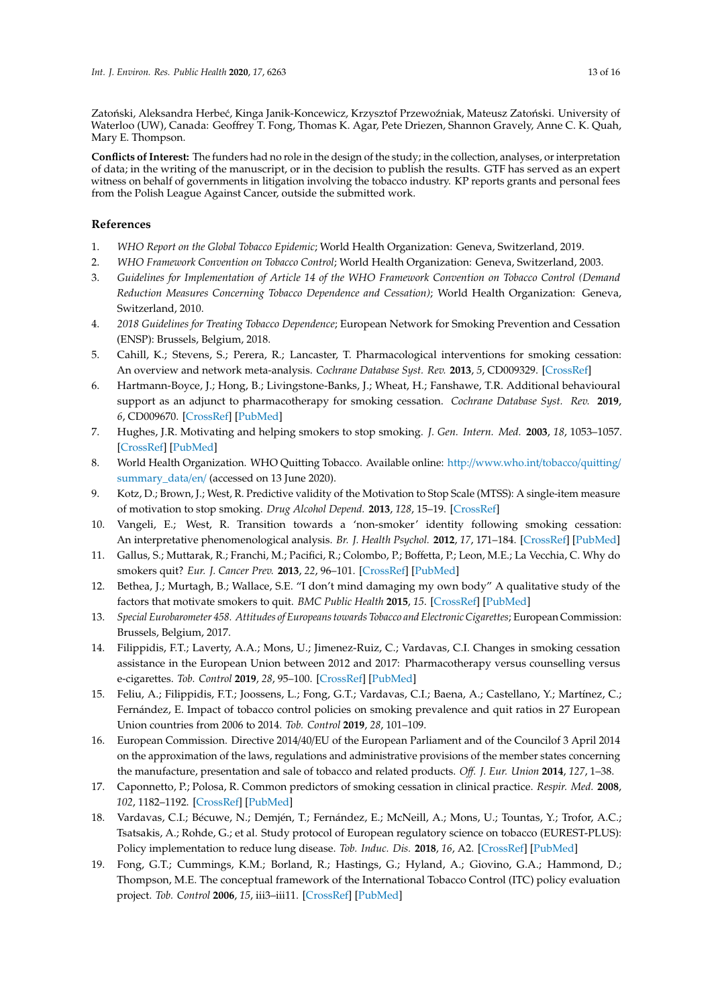Zatoński, Aleksandra Herbeć, Kinga Janik-Koncewicz, Krzysztof Przewoźniak, Mateusz Zatoński. University of Waterloo (UW), Canada: Geoffrey T. Fong, Thomas K. Agar, Pete Driezen, Shannon Gravely, Anne C. K. Quah, Mary E. Thompson.

**Conflicts of Interest:** The funders had no role in the design of the study; in the collection, analyses, or interpretation of data; in the writing of the manuscript, or in the decision to publish the results. GTF has served as an expert witness on behalf of governments in litigation involving the tobacco industry. KP reports grants and personal fees from the Polish League Against Cancer, outside the submitted work.

## **References**

- <span id="page-12-0"></span>1. *WHO Report on the Global Tobacco Epidemic*; World Health Organization: Geneva, Switzerland, 2019.
- <span id="page-12-1"></span>2. *WHO Framework Convention on Tobacco Control*; World Health Organization: Geneva, Switzerland, 2003.
- <span id="page-12-2"></span>3. *Guidelines for Implementation of Article 14 of the WHO Framework Convention on Tobacco Control (Demand Reduction Measures Concerning Tobacco Dependence and Cessation)*; World Health Organization: Geneva, Switzerland, 2010.
- <span id="page-12-3"></span>4. *2018 Guidelines for Treating Tobacco Dependence*; European Network for Smoking Prevention and Cessation (ENSP): Brussels, Belgium, 2018.
- 5. Cahill, K.; Stevens, S.; Perera, R.; Lancaster, T. Pharmacological interventions for smoking cessation: An overview and network meta-analysis. *Cochrane Database Syst. Rev.* **2013**, *5*, CD009329. [\[CrossRef\]](http://dx.doi.org/10.1002/14651858.CD009329.pub2)
- <span id="page-12-4"></span>6. Hartmann-Boyce, J.; Hong, B.; Livingstone-Banks, J.; Wheat, H.; Fanshawe, T.R. Additional behavioural support as an adjunct to pharmacotherapy for smoking cessation. *Cochrane Database Syst. Rev.* **2019**, *6*, CD009670. [\[CrossRef\]](http://dx.doi.org/10.1002/14651858.CD009670.pub4) [\[PubMed\]](http://www.ncbi.nlm.nih.gov/pubmed/31166007)
- <span id="page-12-5"></span>7. Hughes, J.R. Motivating and helping smokers to stop smoking. *J. Gen. Intern. Med.* **2003**, *18*, 1053–1057. [\[CrossRef\]](http://dx.doi.org/10.1111/j.1525-1497.2003.20640.x) [\[PubMed\]](http://www.ncbi.nlm.nih.gov/pubmed/14687265)
- <span id="page-12-6"></span>8. World Health Organization. WHO Quitting Tobacco. Available online: http://[www.who.int](http://www.who.int/tobacco/quitting/summary_data/en/)/tobacco/quitting/ [summary\\_data](http://www.who.int/tobacco/quitting/summary_data/en/)/en/ (accessed on 13 June 2020).
- <span id="page-12-7"></span>9. Kotz, D.; Brown, J.; West, R. Predictive validity of the Motivation to Stop Scale (MTSS): A single-item measure of motivation to stop smoking. *Drug Alcohol Depend.* **2013**, *128*, 15–19. [\[CrossRef\]](http://dx.doi.org/10.1016/j.drugalcdep.2012.07.012)
- <span id="page-12-8"></span>10. Vangeli, E.; West, R. Transition towards a 'non-smoker' identity following smoking cessation: An interpretative phenomenological analysis. *Br. J. Health Psychol.* **2012**, *17*, 171–184. [\[CrossRef\]](http://dx.doi.org/10.1111/j.2044-8287.2011.02031.x) [\[PubMed\]](http://www.ncbi.nlm.nih.gov/pubmed/22107052)
- <span id="page-12-9"></span>11. Gallus, S.; Muttarak, R.; Franchi, M.; Pacifici, R.; Colombo, P.; Boffetta, P.; Leon, M.E.; La Vecchia, C. Why do smokers quit? *Eur. J. Cancer Prev.* **2013**, *22*, 96–101. [\[CrossRef\]](http://dx.doi.org/10.1097/CEJ.0b013e3283552da8) [\[PubMed\]](http://www.ncbi.nlm.nih.gov/pubmed/22644233)
- <span id="page-12-10"></span>12. Bethea, J.; Murtagh, B.; Wallace, S.E. "I don't mind damaging my own body" A qualitative study of the factors that motivate smokers to quit. *BMC Public Health* **2015**, *15*. [\[CrossRef\]](http://dx.doi.org/10.1186/1471-2458-15-4) [\[PubMed\]](http://www.ncbi.nlm.nih.gov/pubmed/25604029)
- <span id="page-12-11"></span>13. *Special Eurobarometer 458. Attitudes of Europeans towards Tobacco and Electronic Cigarettes*; European Commission: Brussels, Belgium, 2017.
- <span id="page-12-12"></span>14. Filippidis, F.T.; Laverty, A.A.; Mons, U.; Jimenez-Ruiz, C.; Vardavas, C.I. Changes in smoking cessation assistance in the European Union between 2012 and 2017: Pharmacotherapy versus counselling versus e-cigarettes. *Tob. Control* **2019**, *28*, 95–100. [\[CrossRef\]](http://dx.doi.org/10.1136/tobaccocontrol-2017-054117) [\[PubMed\]](http://www.ncbi.nlm.nih.gov/pubmed/29563220)
- <span id="page-12-13"></span>15. Feliu, A.; Filippidis, F.T.; Joossens, L.; Fong, G.T.; Vardavas, C.I.; Baena, A.; Castellano, Y.; Martínez, C.; Fernández, E. Impact of tobacco control policies on smoking prevalence and quit ratios in 27 European Union countries from 2006 to 2014. *Tob. Control* **2019**, *28*, 101–109.
- <span id="page-12-14"></span>16. European Commission. Directive 2014/40/EU of the European Parliament and of the Councilof 3 April 2014 on the approximation of the laws, regulations and administrative provisions of the member states concerning the manufacture, presentation and sale of tobacco and related products. *O*ff*. J. Eur. Union* **2014**, *127*, 1–38.
- <span id="page-12-15"></span>17. Caponnetto, P.; Polosa, R. Common predictors of smoking cessation in clinical practice. *Respir. Med.* **2008**, *102*, 1182–1192. [\[CrossRef\]](http://dx.doi.org/10.1016/j.rmed.2008.02.017) [\[PubMed\]](http://www.ncbi.nlm.nih.gov/pubmed/18586479)
- <span id="page-12-16"></span>18. Vardavas, C.I.; Bécuwe, N.; Demjén, T.; Fernández, E.; McNeill, A.; Mons, U.; Tountas, Y.; Trofor, A.C.; Tsatsakis, A.; Rohde, G.; et al. Study protocol of European regulatory science on tobacco (EUREST-PLUS): Policy implementation to reduce lung disease. *Tob. Induc. Dis.* **2018**, *16*, A2. [\[CrossRef\]](http://dx.doi.org/10.18332/tid/93305) [\[PubMed\]](http://www.ncbi.nlm.nih.gov/pubmed/31516458)
- <span id="page-12-17"></span>19. Fong, G.T.; Cummings, K.M.; Borland, R.; Hastings, G.; Hyland, A.; Giovino, G.A.; Hammond, D.; Thompson, M.E. The conceptual framework of the International Tobacco Control (ITC) policy evaluation project. *Tob. Control* **2006**, *15*, iii3–iii11. [\[CrossRef\]](http://dx.doi.org/10.1136/tc.2005.015438) [\[PubMed\]](http://www.ncbi.nlm.nih.gov/pubmed/16754944)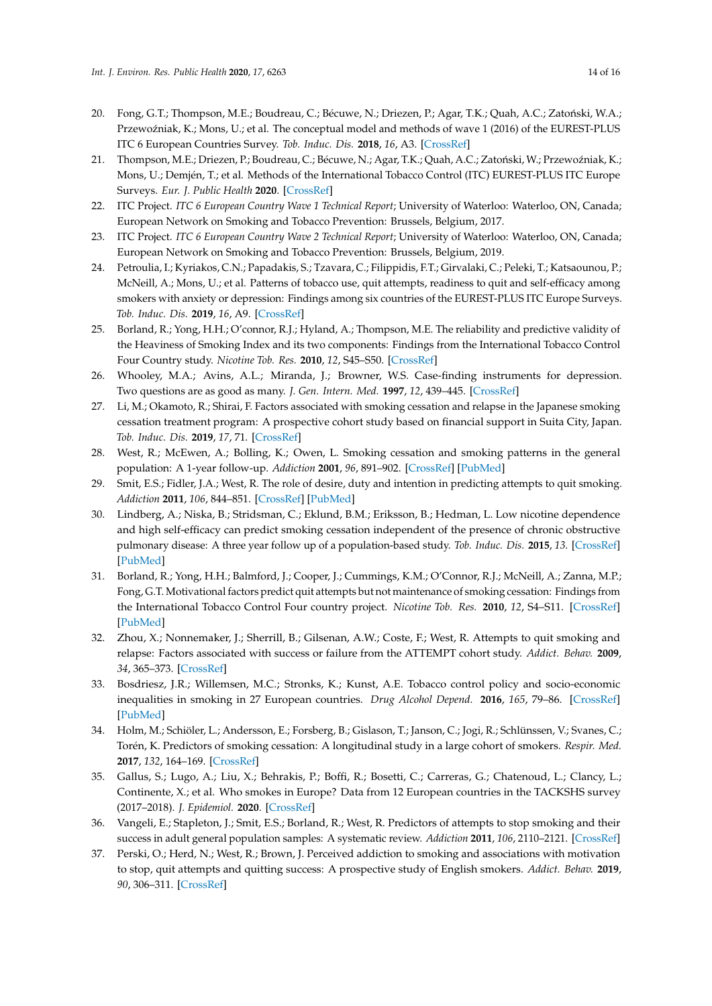- <span id="page-13-0"></span>20. Fong, G.T.; Thompson, M.E.; Boudreau, C.; Bécuwe, N.; Driezen, P.; Agar, T.K.; Quah, A.C.; Zatoński, W.A.; Przewoźniak, K.; Mons, U.; et al. The conceptual model and methods of wave 1 (2016) of the EUREST-PLUS ITC 6 European Countries Survey. *Tob. Induc. Dis.* **2018**, *16*, A3. [\[CrossRef\]](http://dx.doi.org/10.18332/tid/99881)
- 21. Thompson, M.E.; Driezen, P.; Boudreau, C.; Bécuwe, N.; Agar, T.K.; Quah, A.C.; Zatoński, W.; Przewoźniak, K.; Mons, U.; Demjén, T.; et al. Methods of the International Tobacco Control (ITC) EUREST-PLUS ITC Europe Surveys. *Eur. J. Public Health* **2020**. [\[CrossRef\]](http://dx.doi.org/10.1093/eurpub/ckz212)
- 22. ITC Project. *ITC 6 European Country Wave 1 Technical Report*; University of Waterloo: Waterloo, ON, Canada; European Network on Smoking and Tobacco Prevention: Brussels, Belgium, 2017.
- <span id="page-13-1"></span>23. ITC Project. *ITC 6 European Country Wave 2 Technical Report*; University of Waterloo: Waterloo, ON, Canada; European Network on Smoking and Tobacco Prevention: Brussels, Belgium, 2019.
- <span id="page-13-2"></span>24. Petroulia, I.; Kyriakos, C.N.; Papadakis, S.; Tzavara, C.; Filippidis, F.T.; Girvalaki, C.; Peleki, T.; Katsaounou, P.; McNeill, A.; Mons, U.; et al. Patterns of tobacco use, quit attempts, readiness to quit and self-efficacy among smokers with anxiety or depression: Findings among six countries of the EUREST-PLUS ITC Europe Surveys. *Tob. Induc. Dis.* **2019**, *16*, A9. [\[CrossRef\]](http://dx.doi.org/10.18332/tid/98965)
- <span id="page-13-3"></span>25. Borland, R.; Yong, H.H.; O'connor, R.J.; Hyland, A.; Thompson, M.E. The reliability and predictive validity of the Heaviness of Smoking Index and its two components: Findings from the International Tobacco Control Four Country study. *Nicotine Tob. Res.* **2010**, *12*, S45–S50. [\[CrossRef\]](http://dx.doi.org/10.1093/ntr/ntq038)
- <span id="page-13-4"></span>26. Whooley, M.A.; Avins, A.L.; Miranda, J.; Browner, W.S. Case-finding instruments for depression. Two questions are as good as many. *J. Gen. Intern. Med.* **1997**, *12*, 439–445. [\[CrossRef\]](http://dx.doi.org/10.1046/j.1525-1497.1997.00076.x)
- <span id="page-13-5"></span>27. Li, M.; Okamoto, R.; Shirai, F. Factors associated with smoking cessation and relapse in the Japanese smoking cessation treatment program: A prospective cohort study based on financial support in Suita City, Japan. *Tob. Induc. Dis.* **2019**, *17*, 71. [\[CrossRef\]](http://dx.doi.org/10.18332/tid/112154)
- <span id="page-13-6"></span>28. West, R.; McEwen, A.; Bolling, K.; Owen, L. Smoking cessation and smoking patterns in the general population: A 1-year follow-up. *Addiction* **2001**, *96*, 891–902. [\[CrossRef\]](http://dx.doi.org/10.1046/j.1360-0443.2001.96689110.x) [\[PubMed\]](http://www.ncbi.nlm.nih.gov/pubmed/11399220)
- <span id="page-13-7"></span>29. Smit, E.S.; Fidler, J.A.; West, R. The role of desire, duty and intention in predicting attempts to quit smoking. *Addiction* **2011**, *106*, 844–851. [\[CrossRef\]](http://dx.doi.org/10.1111/j.1360-0443.2010.03317.x) [\[PubMed\]](http://www.ncbi.nlm.nih.gov/pubmed/21205048)
- 30. Lindberg, A.; Niska, B.; Stridsman, C.; Eklund, B.M.; Eriksson, B.; Hedman, L. Low nicotine dependence and high self-efficacy can predict smoking cessation independent of the presence of chronic obstructive pulmonary disease: A three year follow up of a population-based study. *Tob. Induc. Dis.* **2015**, *13*. [\[CrossRef\]](http://dx.doi.org/10.1186/s12971-015-0055-6) [\[PubMed\]](http://www.ncbi.nlm.nih.gov/pubmed/26321897)
- 31. Borland, R.; Yong, H.H.; Balmford, J.; Cooper, J.; Cummings, K.M.; O'Connor, R.J.; McNeill, A.; Zanna, M.P.; Fong, G.T. Motivational factors predict quit attempts but not maintenance of smoking cessation: Findings from the International Tobacco Control Four country project. *Nicotine Tob. Res.* **2010**, *12*, S4–S11. [\[CrossRef\]](http://dx.doi.org/10.1093/ntr/ntq050) [\[PubMed\]](http://www.ncbi.nlm.nih.gov/pubmed/20889479)
- <span id="page-13-8"></span>32. Zhou, X.; Nonnemaker, J.; Sherrill, B.; Gilsenan, A.W.; Coste, F.; West, R. Attempts to quit smoking and relapse: Factors associated with success or failure from the ATTEMPT cohort study. *Addict. Behav.* **2009**, *34*, 365–373. [\[CrossRef\]](http://dx.doi.org/10.1016/j.addbeh.2008.11.013)
- <span id="page-13-9"></span>33. Bosdriesz, J.R.; Willemsen, M.C.; Stronks, K.; Kunst, A.E. Tobacco control policy and socio-economic inequalities in smoking in 27 European countries. *Drug Alcohol Depend.* **2016**, *165*, 79–86. [\[CrossRef\]](http://dx.doi.org/10.1016/j.drugalcdep.2016.05.020) [\[PubMed\]](http://www.ncbi.nlm.nih.gov/pubmed/27262899)
- 34. Holm, M.; Schiöler, L.; Andersson, E.; Forsberg, B.; Gislason, T.; Janson, C.; Jogi, R.; Schlünssen, V.; Svanes, C.; Torén, K. Predictors of smoking cessation: A longitudinal study in a large cohort of smokers. *Respir. Med.* **2017**, *132*, 164–169. [\[CrossRef\]](http://dx.doi.org/10.1016/j.rmed.2017.10.013)
- <span id="page-13-10"></span>35. Gallus, S.; Lugo, A.; Liu, X.; Behrakis, P.; Boffi, R.; Bosetti, C.; Carreras, G.; Chatenoud, L.; Clancy, L.; Continente, X.; et al. Who smokes in Europe? Data from 12 European countries in the TACKSHS survey (2017–2018). *J. Epidemiol.* **2020**. [\[CrossRef\]](http://dx.doi.org/10.2188/jea.JE20190344)
- <span id="page-13-11"></span>36. Vangeli, E.; Stapleton, J.; Smit, E.S.; Borland, R.; West, R. Predictors of attempts to stop smoking and their success in adult general population samples: A systematic review. *Addiction* **2011**, *106*, 2110–2121. [\[CrossRef\]](http://dx.doi.org/10.1111/j.1360-0443.2011.03565.x)
- 37. Perski, O.; Herd, N.; West, R.; Brown, J. Perceived addiction to smoking and associations with motivation to stop, quit attempts and quitting success: A prospective study of English smokers. *Addict. Behav.* **2019**, *90*, 306–311. [\[CrossRef\]](http://dx.doi.org/10.1016/j.addbeh.2018.11.030)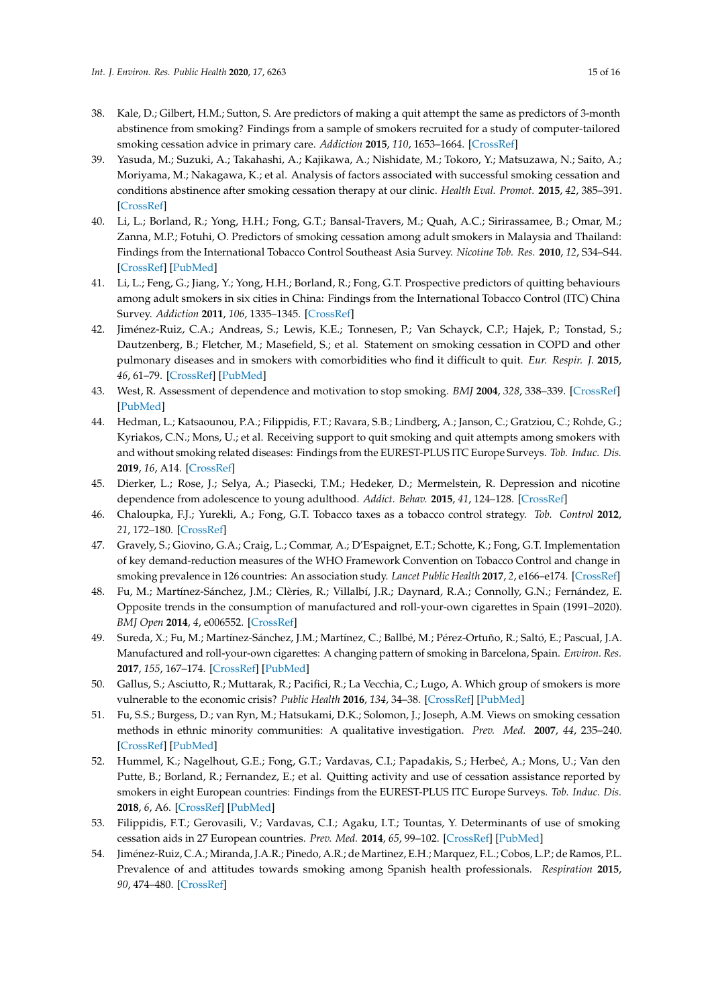- <span id="page-14-0"></span>38. Kale, D.; Gilbert, H.M.; Sutton, S. Are predictors of making a quit attempt the same as predictors of 3-month abstinence from smoking? Findings from a sample of smokers recruited for a study of computer-tailored smoking cessation advice in primary care. *Addiction* **2015**, *110*, 1653–1664. [\[CrossRef\]](http://dx.doi.org/10.1111/add.12972)
- <span id="page-14-1"></span>39. Yasuda, M.; Suzuki, A.; Takahashi, A.; Kajikawa, A.; Nishidate, M.; Tokoro, Y.; Matsuzawa, N.; Saito, A.; Moriyama, M.; Nakagawa, K.; et al. Analysis of factors associated with successful smoking cessation and conditions abstinence after smoking cessation therapy at our clinic. *Health Eval. Promot.* **2015**, *42*, 385–391. [\[CrossRef\]](http://dx.doi.org/10.7143/jhep.42.385)
- <span id="page-14-2"></span>40. Li, L.; Borland, R.; Yong, H.H.; Fong, G.T.; Bansal-Travers, M.; Quah, A.C.; Sirirassamee, B.; Omar, M.; Zanna, M.P.; Fotuhi, O. Predictors of smoking cessation among adult smokers in Malaysia and Thailand: Findings from the International Tobacco Control Southeast Asia Survey. *Nicotine Tob. Res.* **2010**, *12*, S34–S44. [\[CrossRef\]](http://dx.doi.org/10.1093/ntr/ntq030) [\[PubMed\]](http://www.ncbi.nlm.nih.gov/pubmed/20889478)
- <span id="page-14-3"></span>41. Li, L.; Feng, G.; Jiang, Y.; Yong, H.H.; Borland, R.; Fong, G.T. Prospective predictors of quitting behaviours among adult smokers in six cities in China: Findings from the International Tobacco Control (ITC) China Survey. *Addiction* **2011**, *106*, 1335–1345. [\[CrossRef\]](http://dx.doi.org/10.1111/j.1360-0443.2011.03444.x)
- <span id="page-14-4"></span>42. Jiménez-Ruiz, C.A.; Andreas, S.; Lewis, K.E.; Tonnesen, P.; Van Schayck, C.P.; Hajek, P.; Tonstad, S.; Dautzenberg, B.; Fletcher, M.; Masefield, S.; et al. Statement on smoking cessation in COPD and other pulmonary diseases and in smokers with comorbidities who find it difficult to quit. *Eur. Respir. J.* **2015**, *46*, 61–79. [\[CrossRef\]](http://dx.doi.org/10.1183/09031936.00092614) [\[PubMed\]](http://www.ncbi.nlm.nih.gov/pubmed/25882805)
- <span id="page-14-5"></span>43. West, R. Assessment of dependence and motivation to stop smoking. *BMJ* **2004**, *328*, 338–339. [\[CrossRef\]](http://dx.doi.org/10.1136/bmj.328.7435.338) [\[PubMed\]](http://www.ncbi.nlm.nih.gov/pubmed/14764501)
- <span id="page-14-6"></span>44. Hedman, L.; Katsaounou, P.A.; Filippidis, F.T.; Ravara, S.B.; Lindberg, A.; Janson, C.; Gratziou, C.; Rohde, G.; Kyriakos, C.N.; Mons, U.; et al. Receiving support to quit smoking and quit attempts among smokers with and without smoking related diseases: Findings from the EUREST-PLUS ITC Europe Surveys. *Tob. Induc. Dis.* **2019**, *16*, A14. [\[CrossRef\]](http://dx.doi.org/10.18332/tid/102787)
- <span id="page-14-7"></span>45. Dierker, L.; Rose, J.; Selya, A.; Piasecki, T.M.; Hedeker, D.; Mermelstein, R. Depression and nicotine dependence from adolescence to young adulthood. *Addict. Behav.* **2015**, *41*, 124–128. [\[CrossRef\]](http://dx.doi.org/10.1016/j.addbeh.2014.10.004)
- <span id="page-14-8"></span>46. Chaloupka, F.J.; Yurekli, A.; Fong, G.T. Tobacco taxes as a tobacco control strategy. *Tob. Control* **2012**, *21*, 172–180. [\[CrossRef\]](http://dx.doi.org/10.1136/tobaccocontrol-2011-050417)
- <span id="page-14-9"></span>47. Gravely, S.; Giovino, G.A.; Craig, L.; Commar, A.; D'Espaignet, E.T.; Schotte, K.; Fong, G.T. Implementation of key demand-reduction measures of the WHO Framework Convention on Tobacco Control and change in smoking prevalence in 126 countries: An association study. *Lancet Public Health* **2017**, *2*, e166–e174. [\[CrossRef\]](http://dx.doi.org/10.1016/S2468-2667(17)30045-2)
- <span id="page-14-10"></span>48. Fu, M.; Martínez-Sánchez, J.M.; Clèries, R.; Villalbí, J.R.; Daynard, R.A.; Connolly, G.N.; Fernández, E. Opposite trends in the consumption of manufactured and roll-your-own cigarettes in Spain (1991–2020). *BMJ Open* **2014**, *4*, e006552. [\[CrossRef\]](http://dx.doi.org/10.1136/bmjopen-2014-006552)
- 49. Sureda, X.; Fu, M.; Martínez-Sánchez, J.M.; Martínez, C.; Ballbé, M.; Pérez-Ortuño, R.; Saltó, E.; Pascual, J.A. Manufactured and roll-your-own cigarettes: A changing pattern of smoking in Barcelona, Spain. *Environ. Res.* **2017**, *155*, 167–174. [\[CrossRef\]](http://dx.doi.org/10.1016/j.envres.2017.02.012) [\[PubMed\]](http://www.ncbi.nlm.nih.gov/pubmed/28222364)
- <span id="page-14-11"></span>50. Gallus, S.; Asciutto, R.; Muttarak, R.; Pacifici, R.; La Vecchia, C.; Lugo, A. Which group of smokers is more vulnerable to the economic crisis? *Public Health* **2016**, *134*, 34–38. [\[CrossRef\]](http://dx.doi.org/10.1016/j.puhe.2015.11.023) [\[PubMed\]](http://www.ncbi.nlm.nih.gov/pubmed/26753896)
- <span id="page-14-12"></span>51. Fu, S.S.; Burgess, D.; van Ryn, M.; Hatsukami, D.K.; Solomon, J.; Joseph, A.M. Views on smoking cessation methods in ethnic minority communities: A qualitative investigation. *Prev. Med.* **2007**, *44*, 235–240. [\[CrossRef\]](http://dx.doi.org/10.1016/j.ypmed.2006.11.002) [\[PubMed\]](http://www.ncbi.nlm.nih.gov/pubmed/17175016)
- <span id="page-14-13"></span>52. Hummel, K.; Nagelhout, G.E.; Fong, G.T.; Vardavas, C.I.; Papadakis, S.; Herbeć, A.; Mons, U.; Van den Putte, B.; Borland, R.; Fernandez, E.; et al. Quitting activity and use of cessation assistance reported by smokers in eight European countries: Findings from the EUREST-PLUS ITC Europe Surveys. *Tob. Induc. Dis.* **2018**, *6*, A6. [\[CrossRef\]](http://dx.doi.org/10.18332/tid/98912) [\[PubMed\]](http://www.ncbi.nlm.nih.gov/pubmed/31363422)
- <span id="page-14-14"></span>53. Filippidis, F.T.; Gerovasili, V.; Vardavas, C.I.; Agaku, I.T.; Tountas, Y. Determinants of use of smoking cessation aids in 27 European countries. *Prev. Med.* **2014**, *65*, 99–102. [\[CrossRef\]](http://dx.doi.org/10.1016/j.ypmed.2014.05.004) [\[PubMed\]](http://www.ncbi.nlm.nih.gov/pubmed/24832820)
- <span id="page-14-15"></span>54. Jiménez-Ruiz, C.A.; Miranda, J.A.R.; Pinedo, A.R.; de Martinez, E.H.; Marquez, F.L.; Cobos, L.P.; de Ramos, P.L. Prevalence of and attitudes towards smoking among Spanish health professionals. *Respiration* **2015**, *90*, 474–480. [\[CrossRef\]](http://dx.doi.org/10.1159/000441306)